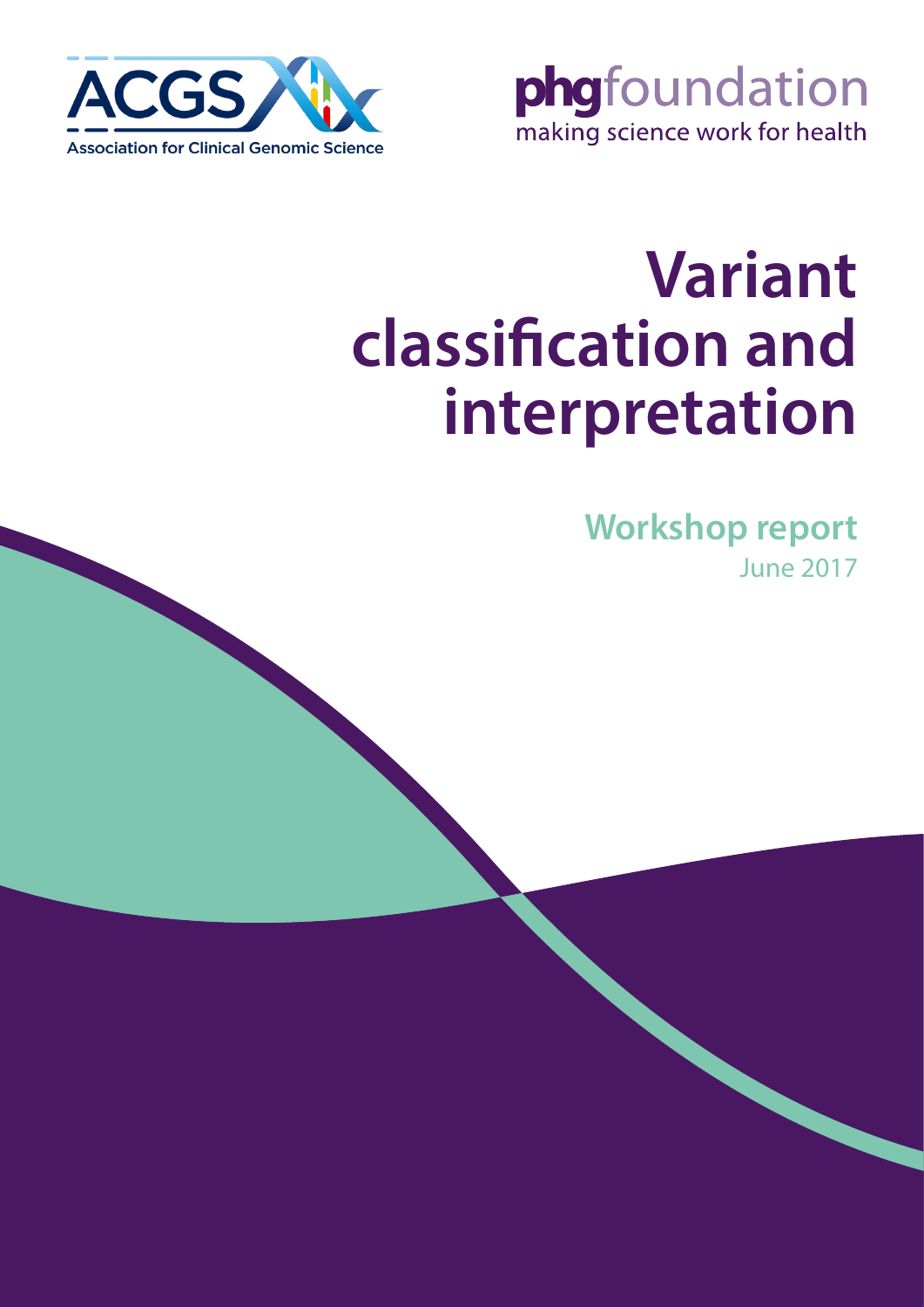

phgfoundation making science work for health

# **Variant classification and interpretation**

**Workshop report** June 2017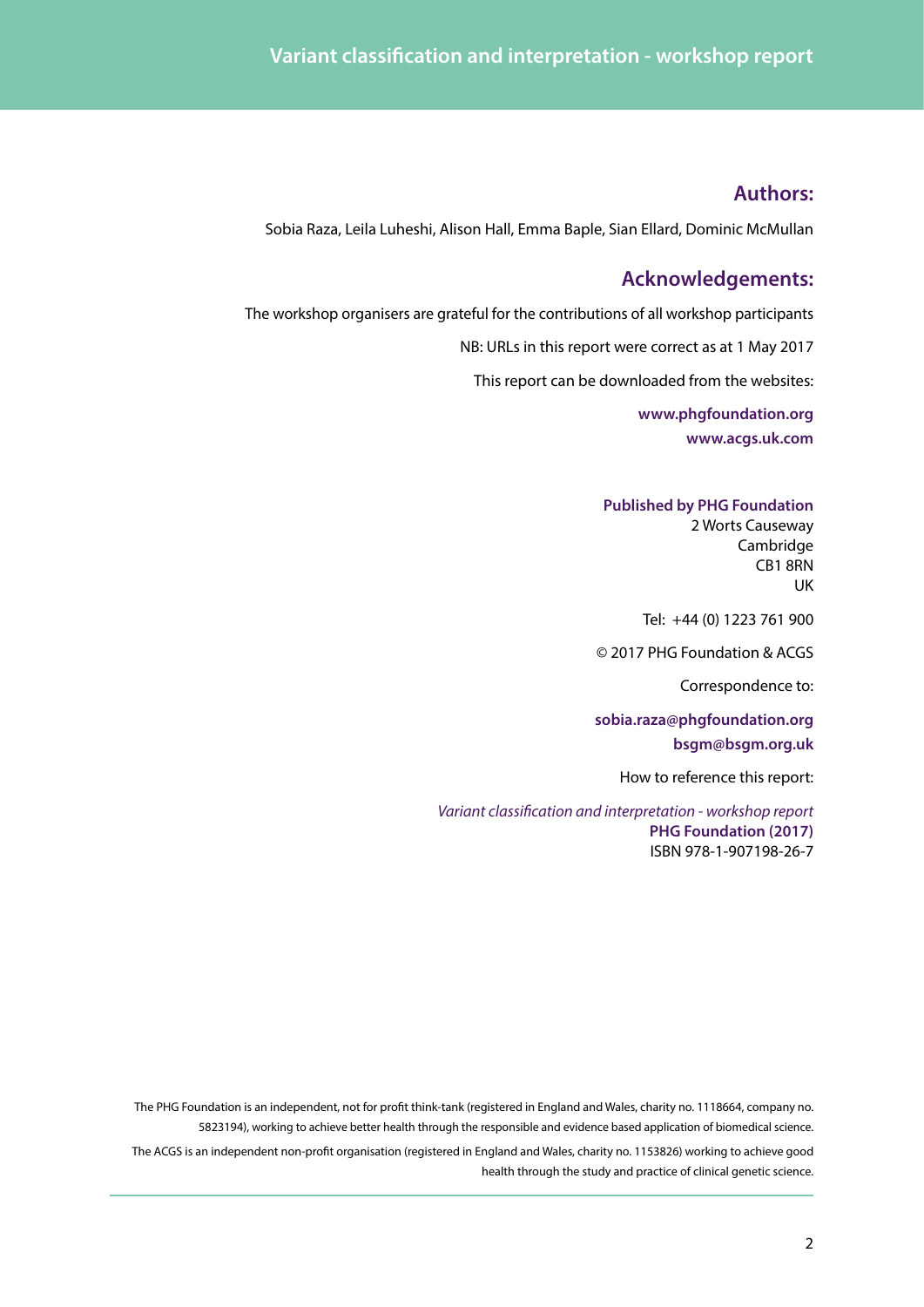### **Authors:**

Sobia Raza, Leila Luheshi, Alison Hall, Emma Baple, Sian Ellard, Dominic McMullan

### **Acknowledgements:**

The workshop organisers are grateful for the contributions of all workshop participants

NB: URLs in this report were correct as at 1 May 2017

This report can be downloaded from the websites:

**[www.phgfoundation.org](http://www.phgfoundation.org) [www.acgs.uk.com](http://www.acgs.uk.com )**

#### **Published by PHG Foundation**

2 Worts Causeway Cambridge CB1 8RN UK

Tel: +44 (0) 1223 761 900

© 2017 PHG Foundation & ACGS

Correspondence to:

**sobia.raza@phgfoundation.org bsgm@bsgm.org.uk**

How to reference this report:

*Variant classification and interpretation - workshop report* **PHG Foundation (2017)** ISBN 978-1-907198-26-7

The PHG Foundation is an independent, not for profit think-tank (registered in England and Wales, charity no. 1118664, company no. 5823194), working to achieve better health through the responsible and evidence based application of biomedical science.

The ACGS is an independent non-profit organisation (registered in England and Wales, charity no. 1153826) working to achieve good health through the study and practice of clinical genetic science.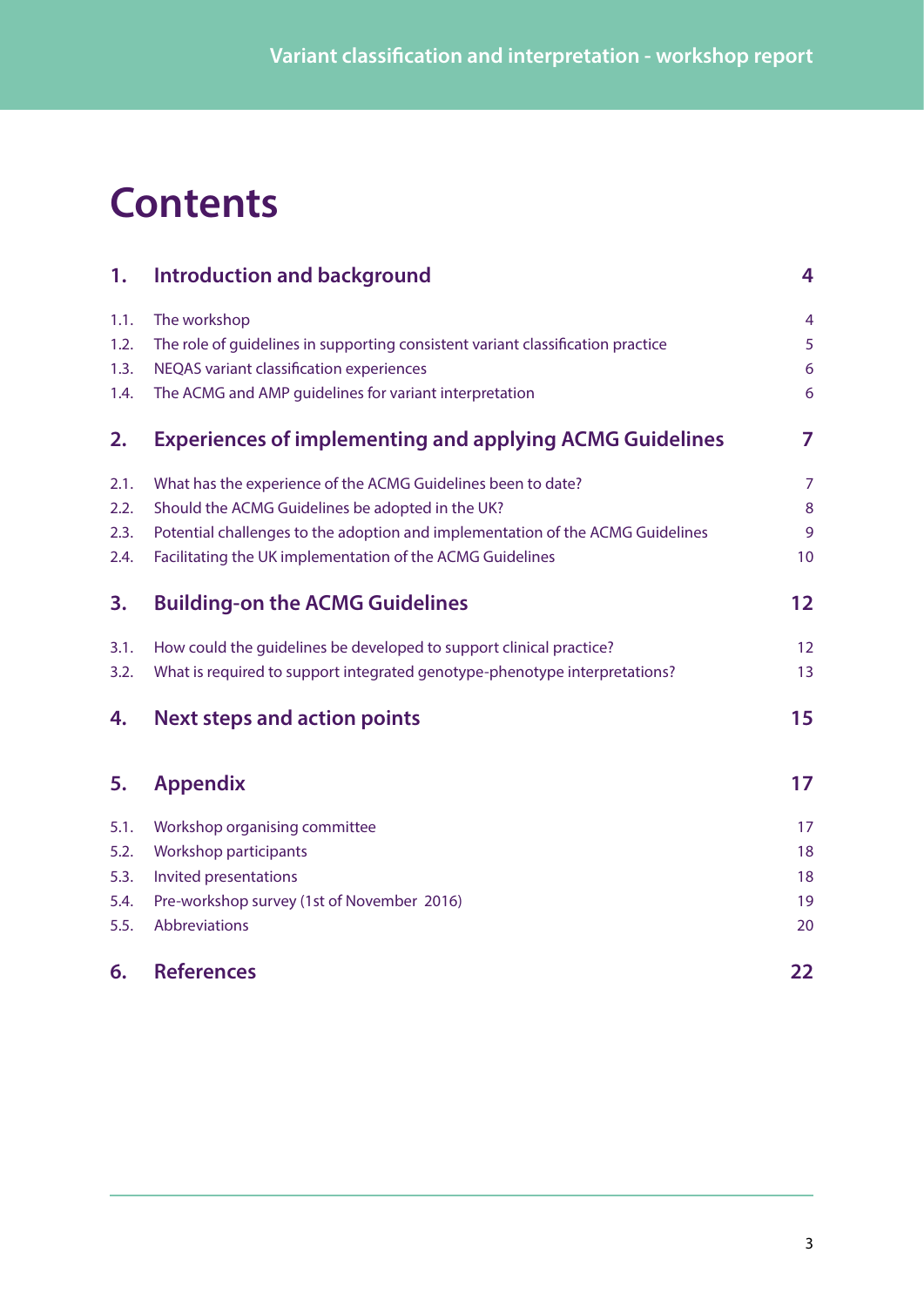## **Contents**

| 1.   | Introduction and background                                                     | 4                 |
|------|---------------------------------------------------------------------------------|-------------------|
| 1.1. | The workshop                                                                    | 4                 |
| 1.2. | The role of guidelines in supporting consistent variant classification practice | 5                 |
| 1.3. | NEQAS variant classification experiences                                        | $6\phantom{1}6$   |
| 1.4. | The ACMG and AMP guidelines for variant interpretation                          | 6                 |
| 2.   | <b>Experiences of implementing and applying ACMG Guidelines</b>                 | 7                 |
| 2.1. | What has the experience of the ACMG Guidelines been to date?                    | $\overline{7}$    |
| 2.2. | Should the ACMG Guidelines be adopted in the UK?                                | 8                 |
| 2.3. | Potential challenges to the adoption and implementation of the ACMG Guidelines  | 9                 |
| 2.4. | Facilitating the UK implementation of the ACMG Guidelines                       | 10                |
| 3.   | <b>Building-on the ACMG Guidelines</b>                                          | $12 \overline{ }$ |
| 3.1. | How could the quidelines be developed to support clinical practice?             | 12                |
| 3.2. | What is required to support integrated genotype-phenotype interpretations?      | 13                |
| 4.   | <b>Next steps and action points</b>                                             | 15                |
| 5.   | <b>Appendix</b>                                                                 | 17                |
| 5.1. | Workshop organising committee                                                   | 17                |
| 5.2. | Workshop participants                                                           | 18                |
| 5.3. | Invited presentations                                                           | 18                |
| 5.4. | Pre-workshop survey (1st of November 2016)                                      | 19                |
| 5.5. | Abbreviations                                                                   | 20                |
| 6.   | <b>References</b>                                                               | 22                |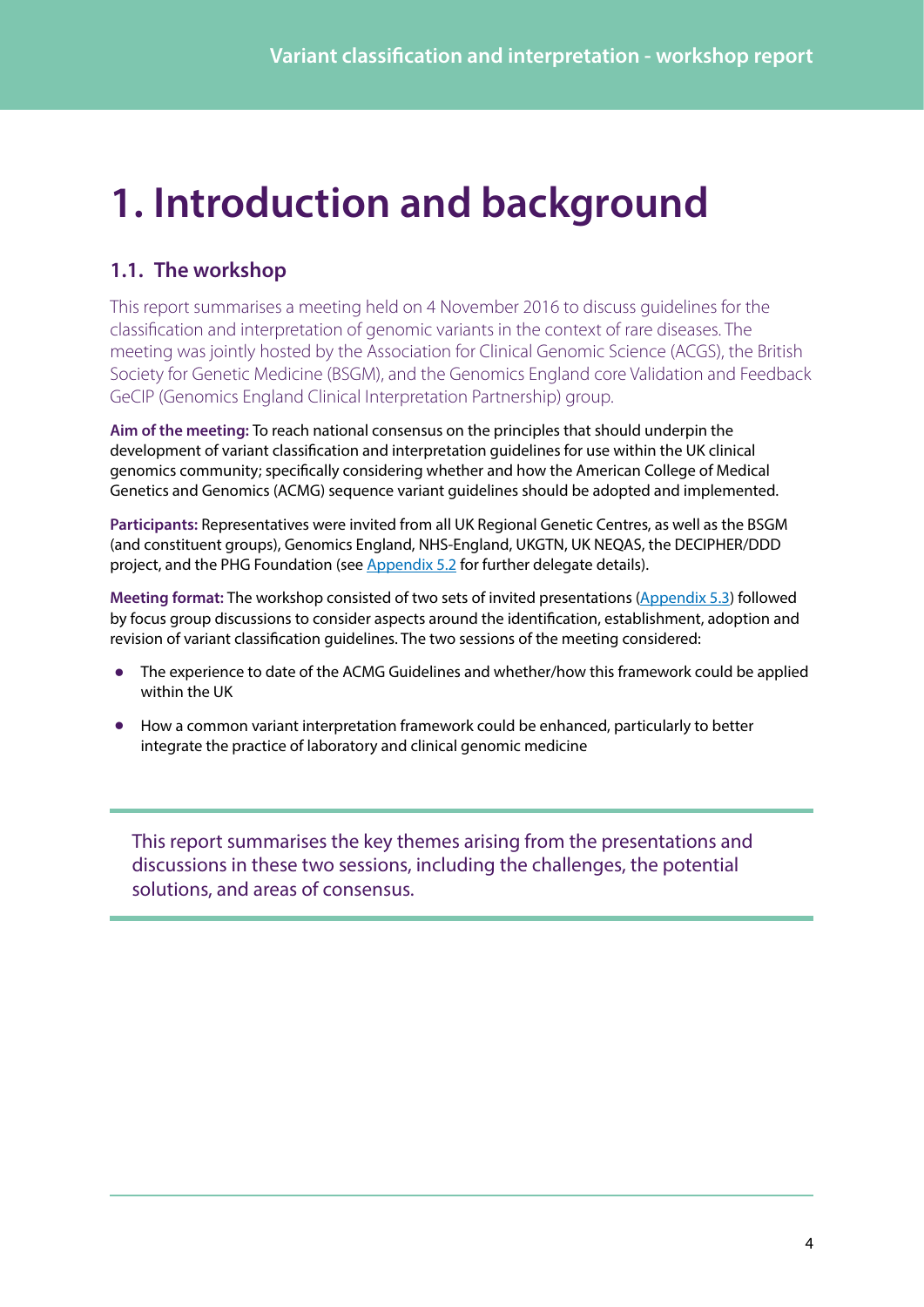## <span id="page-3-0"></span>**1. Introduction and background**

### **1.1. The workshop**

This report summarises a meeting held on 4 November 2016 to discuss guidelines for the classification and interpretation of genomic variants in the context of rare diseases. The meeting was jointly hosted by the Association for Clinical Genomic Science (ACGS), the British Society for Genetic Medicine (BSGM), and the Genomics England core Validation and Feedback GeCIP (Genomics England Clinical Interpretation Partnership) group.

**Aim of the meeting:** To reach national consensus on the principles that should underpin the development of variant classification and interpretation guidelines for use within the UK clinical genomics community; specifically considering whether and how the American College of Medical Genetics and Genomics (ACMG) sequence variant guidelines should be adopted and implemented.

**Participants:** Representatives were invited from all UK Regional Genetic Centres, as well as the BSGM (and constituent groups), Genomics England, NHS-England, UKGTN, UK NEQAS, the DECIPHER/DDD project, and the PHG Foundation (see [Appendix 5.2](#page-17-1) for further delegate details).

**Meeting format:** The workshop consisted of two sets of invited presentations ([Appendix 5.3](#page-17-2)) followed by focus group discussions to consider aspects around the identification, establishment, adoption and revision of variant classification guidelines. The two sessions of the meeting considered:

- **•** The experience to date of the ACMG Guidelines and whether/how this framework could be applied within the UK
- **•** How a common variant interpretation framework could be enhanced, particularly to better integrate the practice of laboratory and clinical genomic medicine

This report summarises the key themes arising from the presentations and discussions in these two sessions, including the challenges, the potential solutions, and areas of consensus.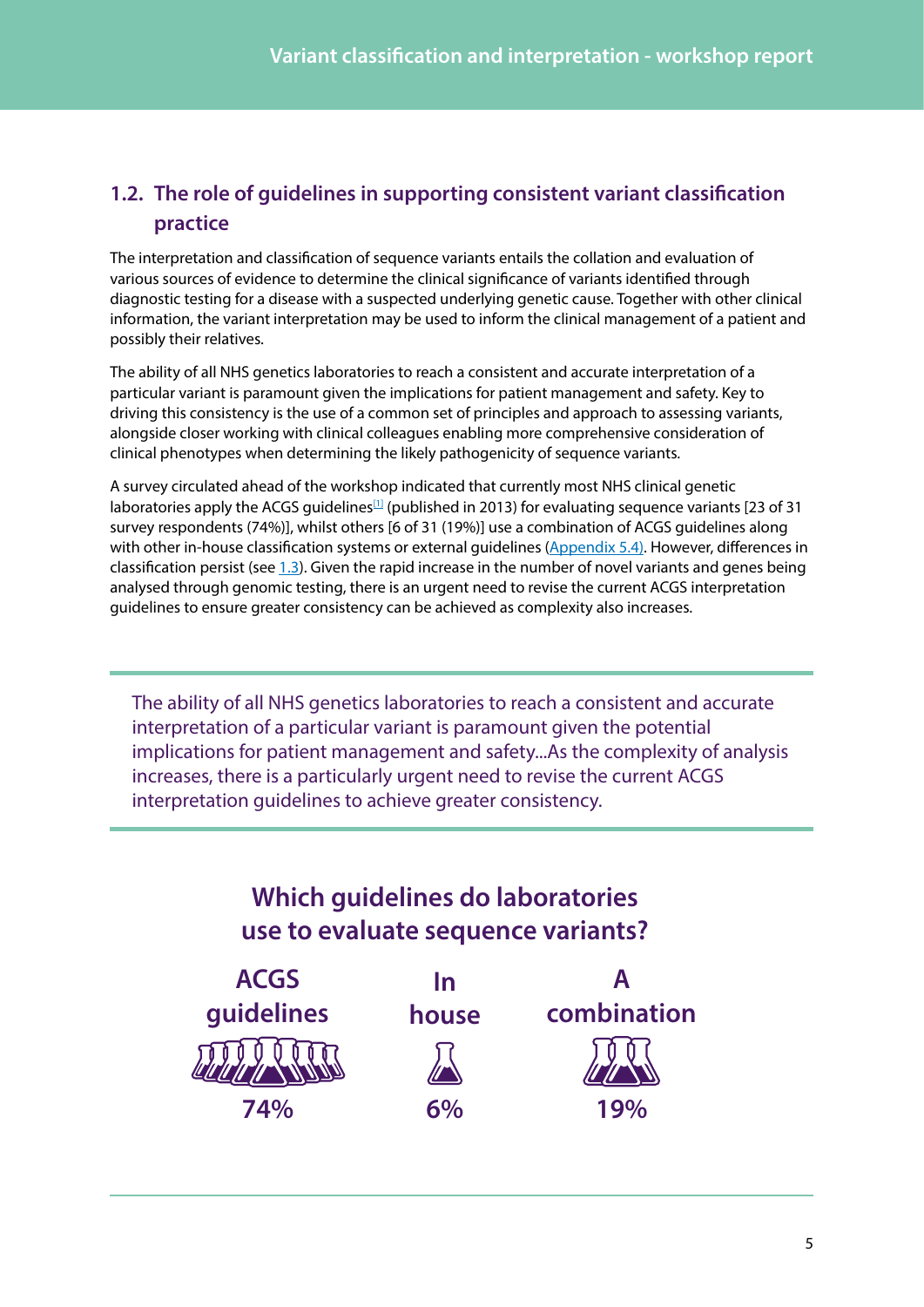### <span id="page-4-0"></span>**1.2. The role of guidelines in supporting consistent variant classification practice**

The interpretation and classification of sequence variants entails the collation and evaluation of various sources of evidence to determine the clinical significance of variants identified through diagnostic testing for a disease with a suspected underlying genetic cause. Together with other clinical information, the variant interpretation may be used to inform the clinical management of a patient and possibly their relatives.

The ability of all NHS genetics laboratories to reach a consistent and accurate interpretation of a particular variant is paramount given the implications for patient management and safety. Key to driving this consistency is the use of a common set of principles and approach to assessing variants, alongside closer working with clinical colleagues enabling more comprehensive consideration of clinical phenotypes when determining the likely pathogenicity of sequence variants.

A survey circulated ahead of the workshop indicated that currently most NHS clinical genetic laboratories apply the ACGS quidelines<sup>[\[1\]](#page-21-1)</sup> (published in 2013) for evaluating sequence variants [23 of 31 survey respondents (74%)], whilst others [6 of 31 (19%)] use a combination of ACGS guidelines along with other in-house classification systems or external guidelines [\(Appendix 5.4\)](#page-18-1). However, differences in classification persist (see  $1.3$ ). Given the rapid increase in the number of novel variants and genes being analysed through genomic testing, there is an urgent need to revise the current ACGS interpretation guidelines to ensure greater consistency can be achieved as complexity also increases.

The ability of all NHS genetics laboratories to reach a consistent and accurate interpretation of a particular variant is paramount given the potential implications for patient management and safety...As the complexity of analysis increases, there is a particularly urgent need to revise the current ACGS interpretation guidelines to achieve greater consistency.

### **Which guidelines do laboratories use to evaluate sequence variants?**

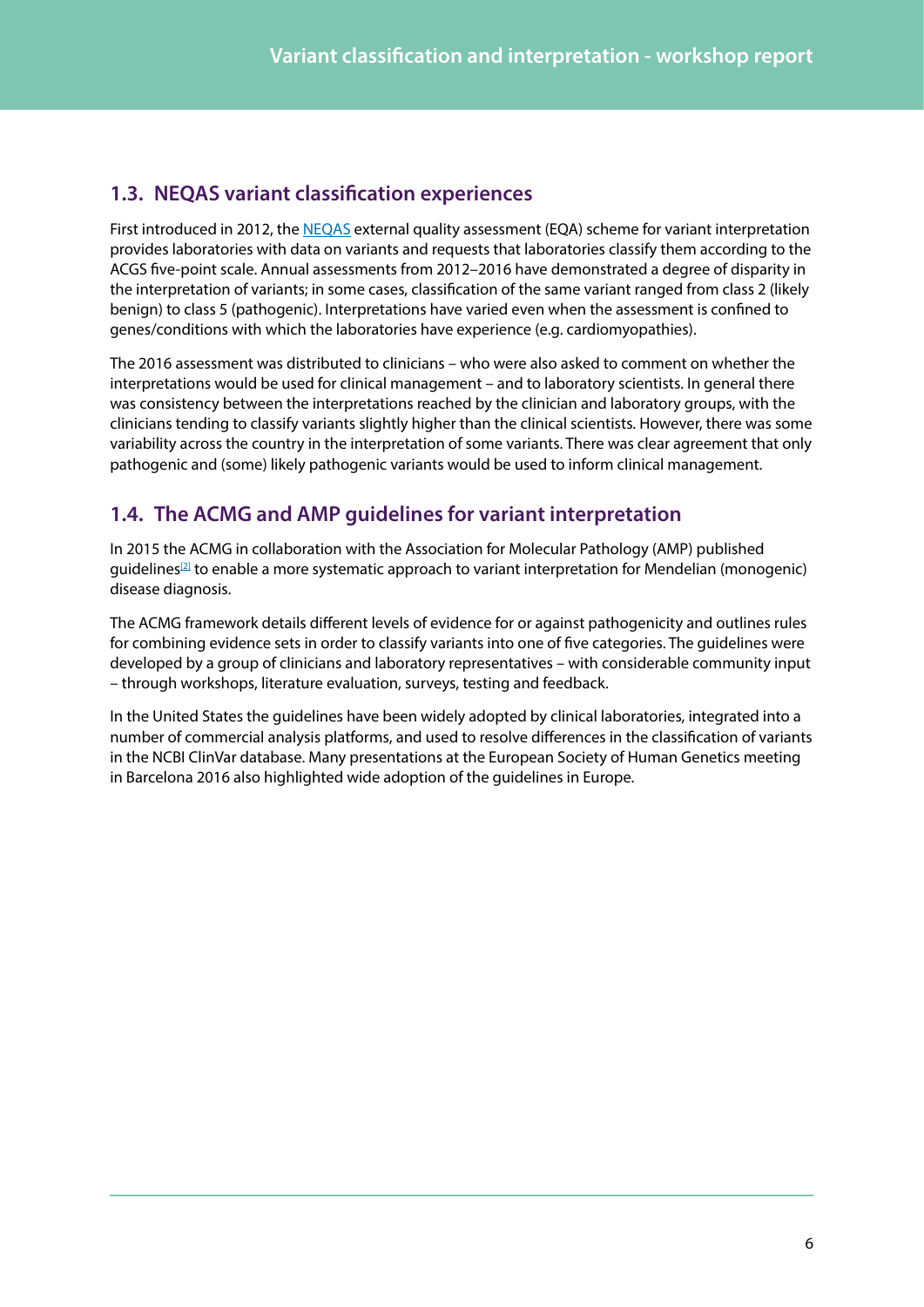### <span id="page-5-1"></span><span id="page-5-0"></span>**1.3. NEQAS variant classification experiences**

First introduced in 2012, the [NEQAS](http://www.ukneqas.org.uk/content/Pageserver.asp) external quality assessment (EQA) scheme for variant interpretation provides laboratories with data on variants and requests that laboratories classify them according to the ACGS five-point scale. Annual assessments from 2012–2016 have demonstrated a degree of disparity in the interpretation of variants; in some cases, classification of the same variant ranged from class 2 (likely benign) to class 5 (pathogenic). Interpretations have varied even when the assessment is confined to genes/conditions with which the laboratories have experience (e.g. cardiomyopathies).

The 2016 assessment was distributed to clinicians – who were also asked to comment on whether the interpretations would be used for clinical management – and to laboratory scientists. In general there was consistency between the interpretations reached by the clinician and laboratory groups, with the clinicians tending to classify variants slightly higher than the clinical scientists. However, there was some variability across the country in the interpretation of some variants. There was clear agreement that only pathogenic and (some) likely pathogenic variants would be used to inform clinical management.

### **1.4. The ACMG and AMP guidelines for variant interpretation**

In 2015 the ACMG in collaboration with the Association for Molecular Pathology (AMP) published quidelines<sup>[2]</sup> to enable a more systematic approach to variant interpretation for Mendelian (monogenic) disease diagnosis.

The ACMG framework details different levels of evidence for or against pathogenicity and outlines rules for combining evidence sets in order to classify variants into one of five categories. The guidelines were developed by a group of clinicians and laboratory representatives – with considerable community input – through workshops, literature evaluation, surveys, testing and feedback.

In the United States the guidelines have been widely adopted by clinical laboratories, integrated into a number of commercial analysis platforms, and used to resolve differences in the classification of variants in the NCBI ClinVar database. Many presentations at the European Society of Human Genetics meeting in Barcelona 2016 also highlighted wide adoption of the guidelines in Europe.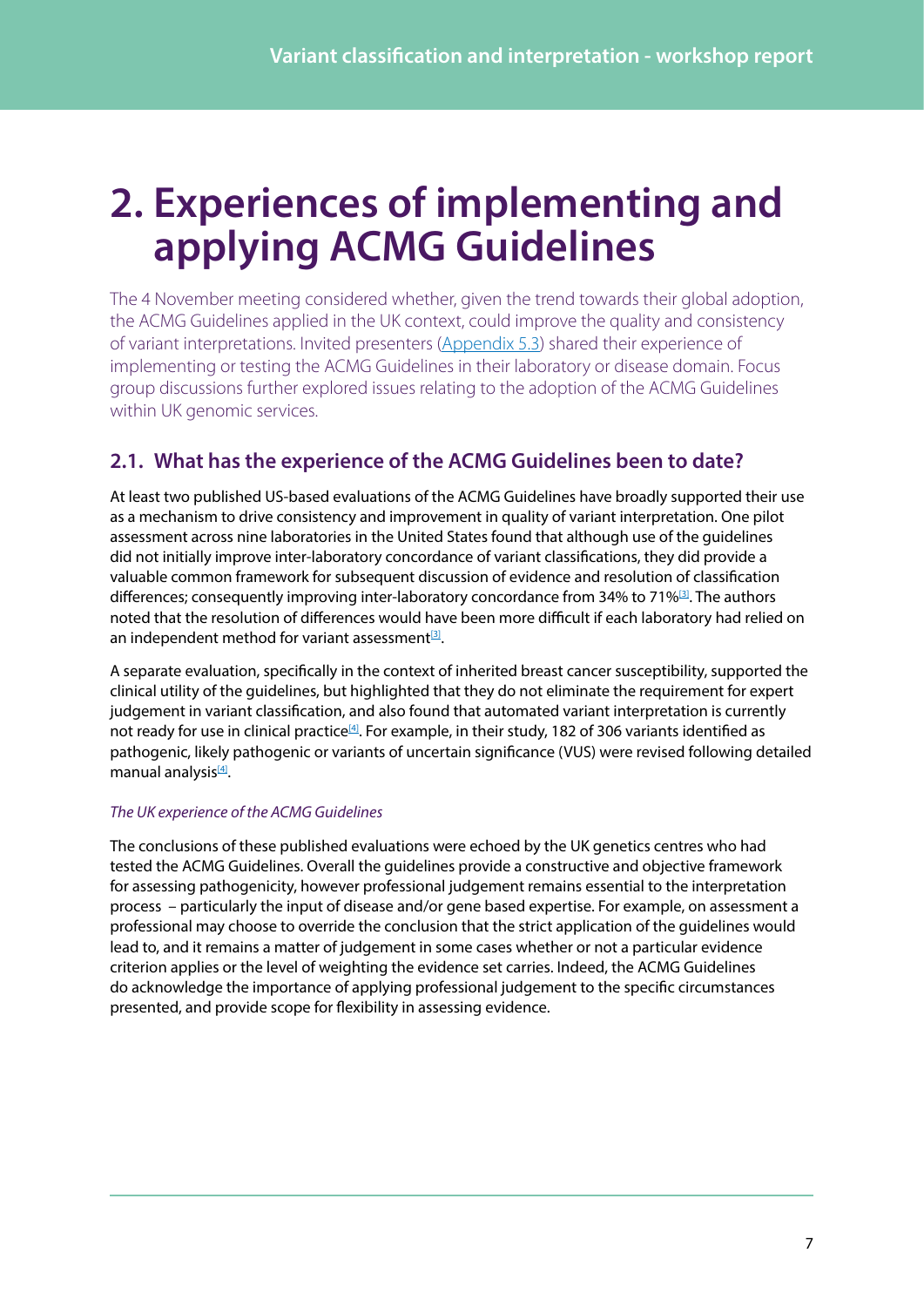## <span id="page-6-0"></span>**2. Experiences of implementing and applying ACMG Guidelines**

The 4 November meeting considered whether, given the trend towards their global adoption, the ACMG Guidelines applied in the UK context, could improve the quality and consistency of variant interpretations. Invited presenters ([Appendix 5.3\)](#page-17-2) shared their experience of implementing or testing the ACMG Guidelines in their laboratory or disease domain. Focus group discussions further explored issues relating to the adoption of the ACMG Guidelines within UK genomic services.

### **2.1. What has the experience of the ACMG Guidelines been to date?**

At least two published US-based evaluations of the ACMG Guidelines have broadly supported their use as a mechanism to drive consistency and improvement in quality of variant interpretation. One pilot assessment across nine laboratories in the United States found that although use of the guidelines did not initially improve inter-laboratory concordance of variant classifications, they did provide a valuable common framework for subsequent discussion of evidence and resolution of classification differences; consequently improving inter-laboratory concordance from 34% to 71%<sup>[\[3\]](#page-21-3)</sup>. The authors noted that the resolution of differences would have been more difficult if each laboratory had relied on an independent method for variant assessment $^{[3]}$  $^{[3]}$  $^{[3]}$ .

A separate evaluation, specifically in the context of inherited breast cancer susceptibility, supported the clinical utility of the guidelines, but highlighted that they do not eliminate the requirement for expert judgement in variant classification, and also found that automated variant interpretation is currently not ready for use in clinical practice<sup>[\[4\]](#page-21-4)</sup>. For example, in their study, 182 of 306 variants identified as pathogenic, likely pathogenic or variants of uncertain significance (VUS) were revised following detailed manual analysis<sup>[4]</sup>.

### *The UK experience of the ACMG Guidelines*

The conclusions of these published evaluations were echoed by the UK genetics centres who had tested the ACMG Guidelines. Overall the guidelines provide a constructive and objective framework for assessing pathogenicity, however professional judgement remains essential to the interpretation process – particularly the input of disease and/or gene based expertise. For example, on assessment a professional may choose to override the conclusion that the strict application of the guidelines would lead to, and it remains a matter of judgement in some cases whether or not a particular evidence criterion applies or the level of weighting the evidence set carries. Indeed, the ACMG Guidelines do acknowledge the importance of applying professional judgement to the specific circumstances presented, and provide scope for flexibility in assessing evidence.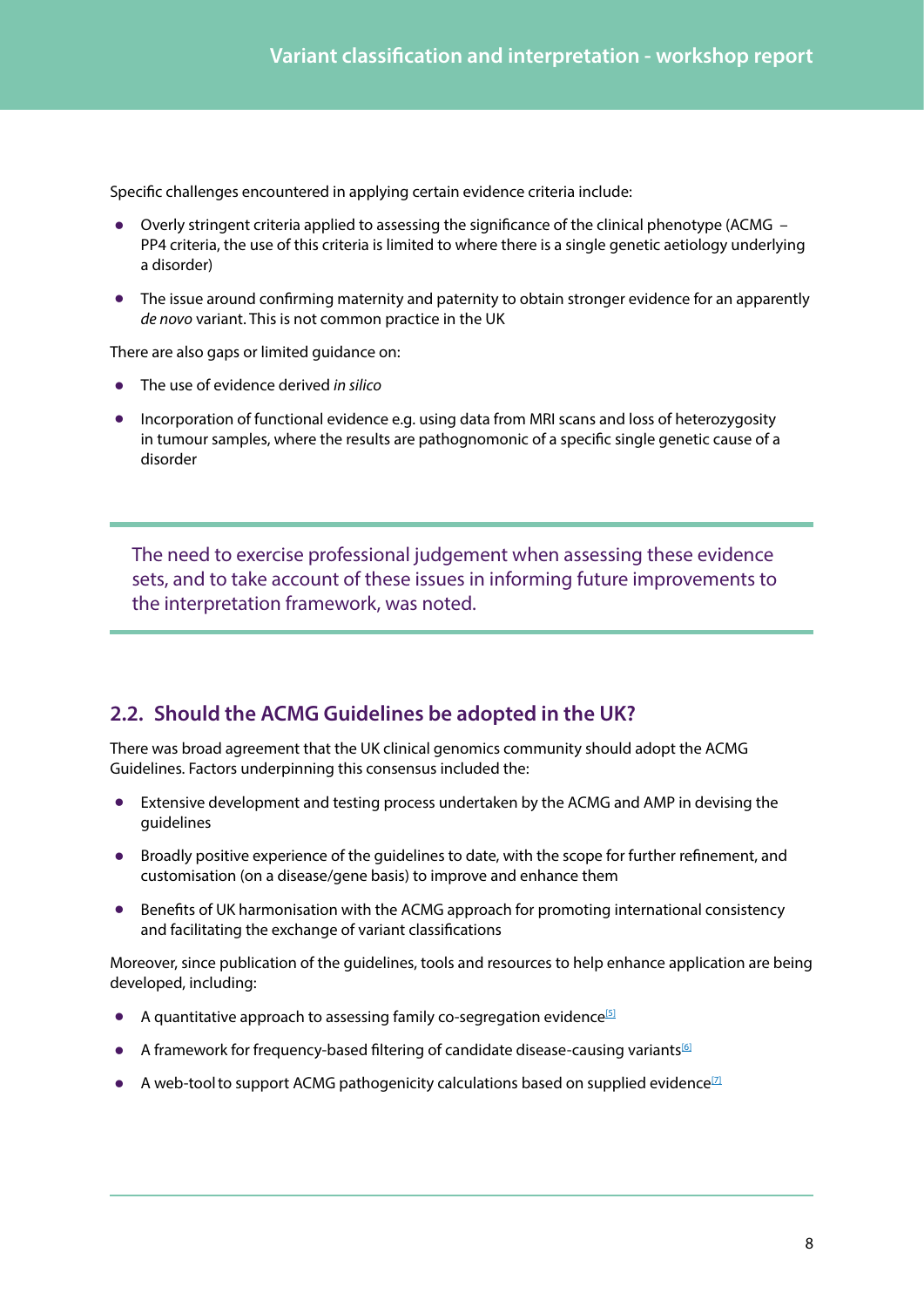<span id="page-7-0"></span>Specific challenges encountered in applying certain evidence criteria include:

- **•** Overly stringent criteria applied to assessing the significance of the clinical phenotype (ACMG PP4 criteria, the use of this criteria is limited to where there is a single genetic aetiology underlying a disorder)
- **•** The issue around confirming maternity and paternity to obtain stronger evidence for an apparently *de novo* variant. This is not common practice in the UK

There are also gaps or limited guidance on:

- **•** The use of evidence derived *in silico*
- **•** Incorporation of functional evidence e.g. using data from MRI scans and loss of heterozygosity in tumour samples, where the results are pathognomonic of a specific single genetic cause of a disorder

The need to exercise professional judgement when assessing these evidence sets, and to take account of these issues in informing future improvements to the interpretation framework, was noted.

### **2.2. Should the ACMG Guidelines be adopted in the UK?**

There was broad agreement that the UK clinical genomics community should adopt the ACMG Guidelines. Factors underpinning this consensus included the:

- **•** Extensive development and testing process undertaken by the ACMG and AMP in devising the guidelines
- **•** Broadly positive experience of the guidelines to date, with the scope for further refinement, and customisation (on a disease/gene basis) to improve and enhance them
- **•** Benefits of UK harmonisation with the ACMG approach for promoting international consistency and facilitating the exchange of variant classifications

Moreover, since publication of the guidelines, tools and resources to help enhance application are being developed, including:

- A quantitative approach to assessing family co-segregation evidence<sup>[5]</sup>
- A framework for frequency-based filtering of candidate disease-causing variants<sup>[6]</sup>
- A web-tool to support ACMG pathogenicity calculations based on supplied evidence<sup>[7]</sup>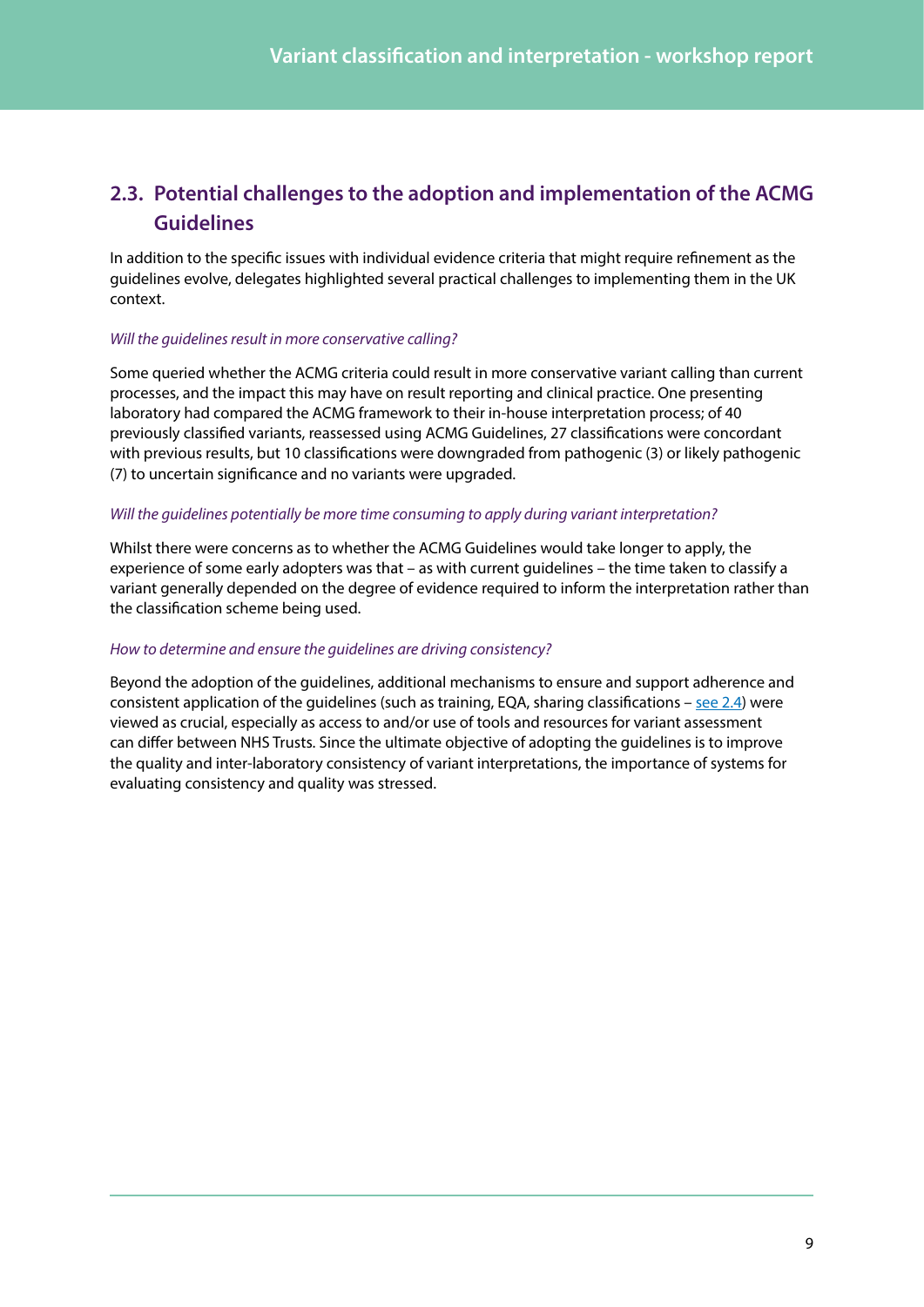### <span id="page-8-0"></span>**2.3. Potential challenges to the adoption and implementation of the ACMG Guidelines**

In addition to the specific issues with individual evidence criteria that might require refinement as the guidelines evolve, delegates highlighted several practical challenges to implementing them in the UK context.

#### *Will the guidelines result in more conservative calling?*

Some queried whether the ACMG criteria could result in more conservative variant calling than current processes, and the impact this may have on result reporting and clinical practice. One presenting laboratory had compared the ACMG framework to their in-house interpretation process; of 40 previously classified variants, reassessed using ACMG Guidelines, 27 classifications were concordant with previous results, but 10 classifications were downgraded from pathogenic (3) or likely pathogenic (7) to uncertain significance and no variants were upgraded.

#### *Will the guidelines potentially be more time consuming to apply during variant interpretation?*

Whilst there were concerns as to whether the ACMG Guidelines would take longer to apply, the experience of some early adopters was that – as with current guidelines – the time taken to classify a variant generally depended on the degree of evidence required to inform the interpretation rather than the classification scheme being used.

#### *How to determine and ensure the guidelines are driving consistency?*

Beyond the adoption of the guidelines, additional mechanisms to ensure and support adherence and consistent application of the guidelines (such as training, EQA, sharing classifications  $-$  [see 2.4](#page-9-1)) were viewed as crucial, especially as access to and/or use of tools and resources for variant assessment can differ between NHS Trusts. Since the ultimate objective of adopting the guidelines is to improve the quality and inter-laboratory consistency of variant interpretations, the importance of systems for evaluating consistency and quality was stressed.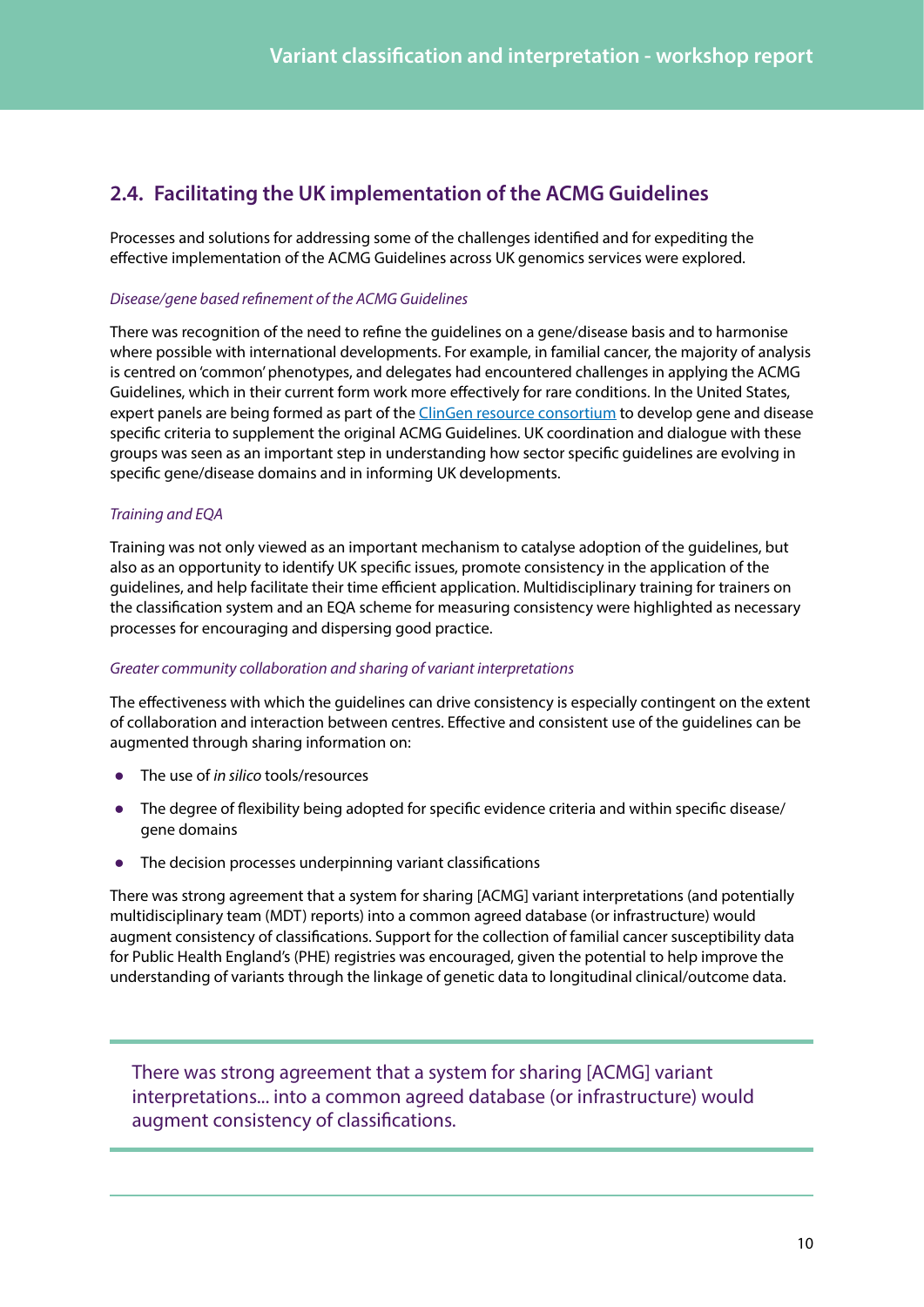### <span id="page-9-1"></span><span id="page-9-0"></span>**2.4. Facilitating the UK implementation of the ACMG Guidelines**

Processes and solutions for addressing some of the challenges identified and for expediting the effective implementation of the ACMG Guidelines across UK genomics services were explored.

#### *Disease/gene based refinement of the ACMG Guidelines*

There was recognition of the need to refine the guidelines on a gene/disease basis and to harmonise where possible with international developments. For example, in familial cancer, the majority of analysis is centred on 'common' phenotypes, and delegates had encountered challenges in applying the ACMG Guidelines, which in their current form work more effectively for rare conditions. In the United States, expert panels are being formed as part of the [ClinGen resource consortium](https://www.clinicalgenome.org/) to develop gene and disease specific criteria to supplement the original ACMG Guidelines. UK coordination and dialogue with these groups was seen as an important step in understanding how sector specific guidelines are evolving in specific gene/disease domains and in informing UK developments.

### *Training and EQA*

Training was not only viewed as an important mechanism to catalyse adoption of the guidelines, but also as an opportunity to identify UK specific issues, promote consistency in the application of the guidelines, and help facilitate their time efficient application. Multidisciplinary training for trainers on the classification system and an EQA scheme for measuring consistency were highlighted as necessary processes for encouraging and dispersing good practice.

#### *Greater community collaboration and sharing of variant interpretations*

The effectiveness with which the guidelines can drive consistency is especially contingent on the extent of collaboration and interaction between centres. Effective and consistent use of the guidelines can be augmented through sharing information on:

- **•** The use of *in silico* tools/resources
- The degree of flexibility being adopted for specific evidence criteria and within specific disease/ gene domains
- **•** The decision processes underpinning variant classifications

There was strong agreement that a system for sharing [ACMG] variant interpretations (and potentially multidisciplinary team (MDT) reports) into a common agreed database (or infrastructure) would augment consistency of classifications. Support for the collection of familial cancer susceptibility data for Public Health England's (PHE) registries was encouraged, given the potential to help improve the understanding of variants through the linkage of genetic data to longitudinal clinical/outcome data.

There was strong agreement that a system for sharing [ACMG] variant interpretations... into a common agreed database (or infrastructure) would augment consistency of classifications.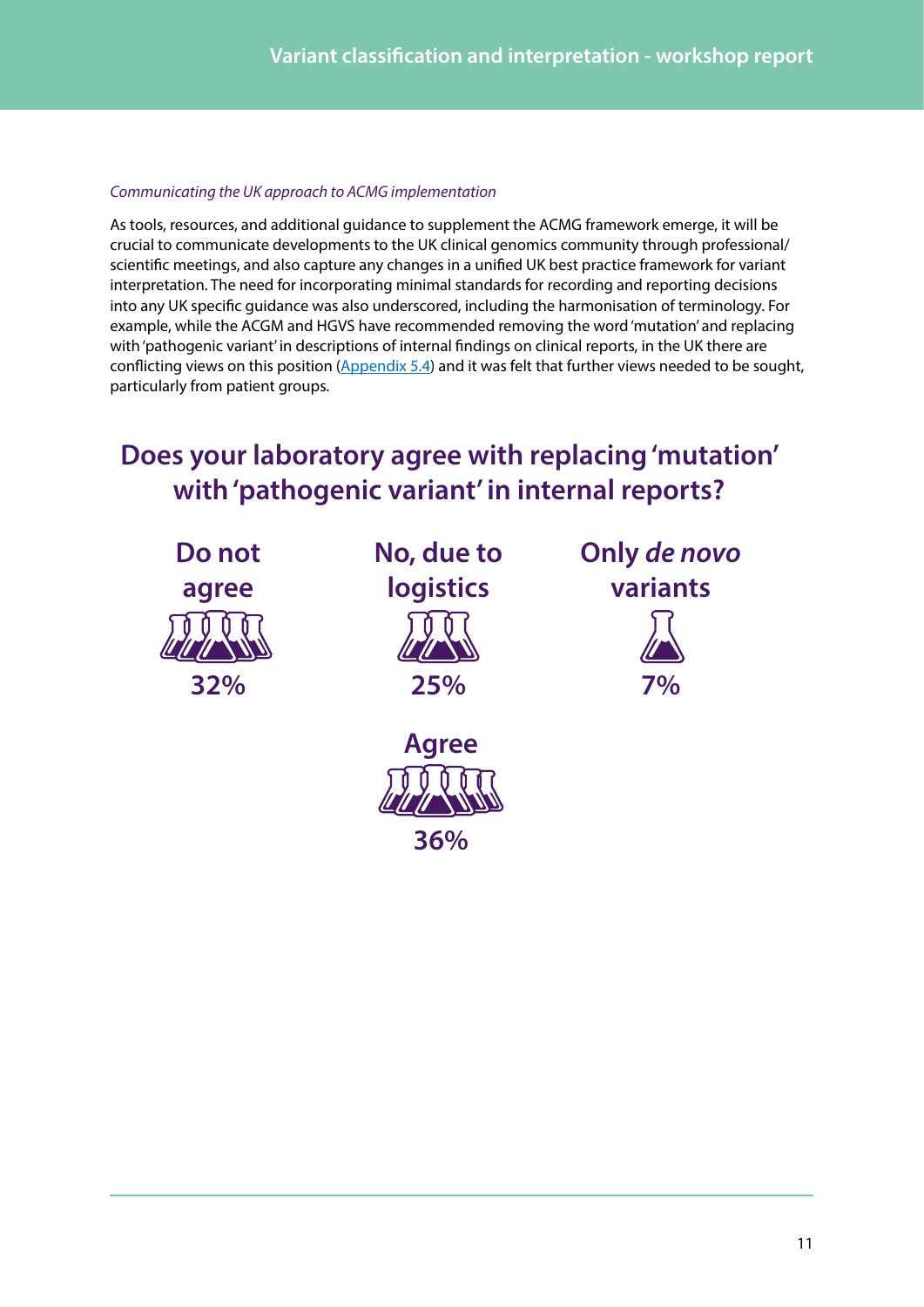### *Communicating the UK approach to ACMG implementation*

As tools, resources, and additional guidance to supplement the ACMG framework emerge, it will be crucial to communicate developments to the UK clinical genomics community through professional/ scientific meetings, and also capture any changes in a unified UK best practice framework for variant interpretation. The need for incorporating minimal standards for recording and reporting decisions into any UK specific guidance was also underscored, including the harmonisation of terminology. For example, while the ACGM and HGVS have recommended removing the word 'mutation' and replacing with 'pathogenic variant' in descriptions of internal findings on clinical reports, in the UK there are conflicting views on this position [\(Appendix 5.4](#page-18-1)) and it was felt that further views needed to be sought, particularly from patient groups.

### **Does your laboratory agree with replacing 'mutation' with 'pathogenic variant' in internal reports?**

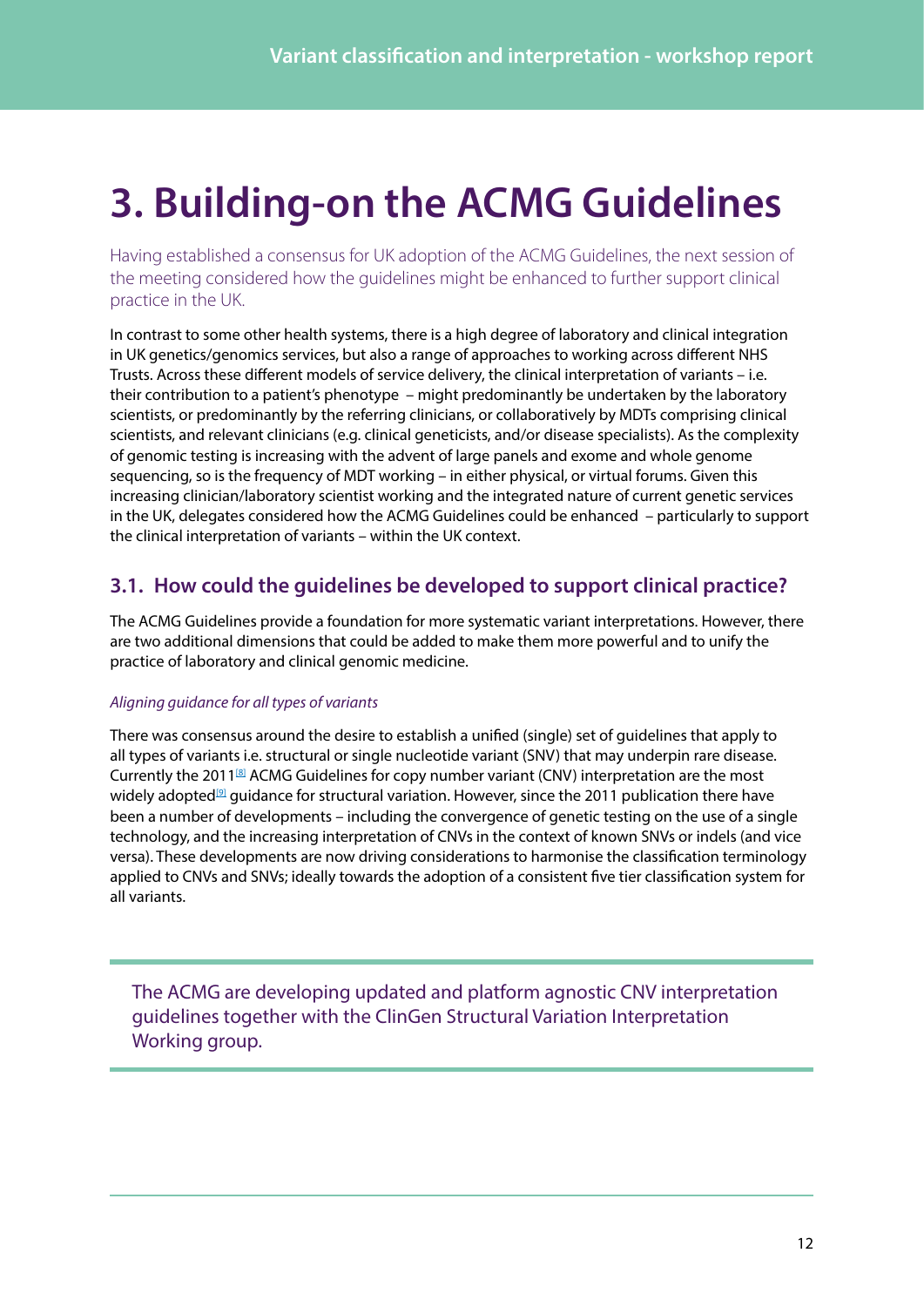## <span id="page-11-0"></span>**3. Building-on the ACMG Guidelines**

Having established a consensus for UK adoption of the ACMG Guidelines, the next session of the meeting considered how the guidelines might be enhanced to further support clinical practice in the UK.

In contrast to some other health systems, there is a high degree of laboratory and clinical integration in UK genetics/genomics services, but also a range of approaches to working across different NHS Trusts. Across these different models of service delivery, the clinical interpretation of variants – i.e. their contribution to a patient's phenotype – might predominantly be undertaken by the laboratory scientists, or predominantly by the referring clinicians, or collaboratively by MDTs comprising clinical scientists, and relevant clinicians (e.g. clinical geneticists, and/or disease specialists). As the complexity of genomic testing is increasing with the advent of large panels and exome and whole genome sequencing, so is the frequency of MDT working – in either physical, or virtual forums. Given this increasing clinician/laboratory scientist working and the integrated nature of current genetic services in the UK, delegates considered how the ACMG Guidelines could be enhanced – particularly to support the clinical interpretation of variants – within the UK context.

### **3.1. How could the guidelines be developed to support clinical practice?**

The ACMG Guidelines provide a foundation for more systematic variant interpretations. However, there are two additional dimensions that could be added to make them more powerful and to unify the practice of laboratory and clinical genomic medicine.

### *Aligning guidance for all types of variants*

There was consensus around the desire to establish a unified (single) set of guidelines that apply to all types of variants i.e. structural or single nucleotide variant (SNV) that may underpin rare disease. Currently the 2011<sup>[8]</sup> ACMG Guidelines for copy number variant (CNV) interpretation are the most widely adopted<sup>[9]</sup> guidance for structural variation. However, since the 2011 publication there have been a number of developments – including the convergence of genetic testing on the use of a single technology, and the increasing interpretation of CNVs in the context of known SNVs or indels (and vice versa). These developments are now driving considerations to harmonise the classification terminology applied to CNVs and SNVs; ideally towards the adoption of a consistent five tier classification system for all variants.

The ACMG are developing updated and platform agnostic CNV interpretation guidelines together with the ClinGen Structural Variation Interpretation Working group.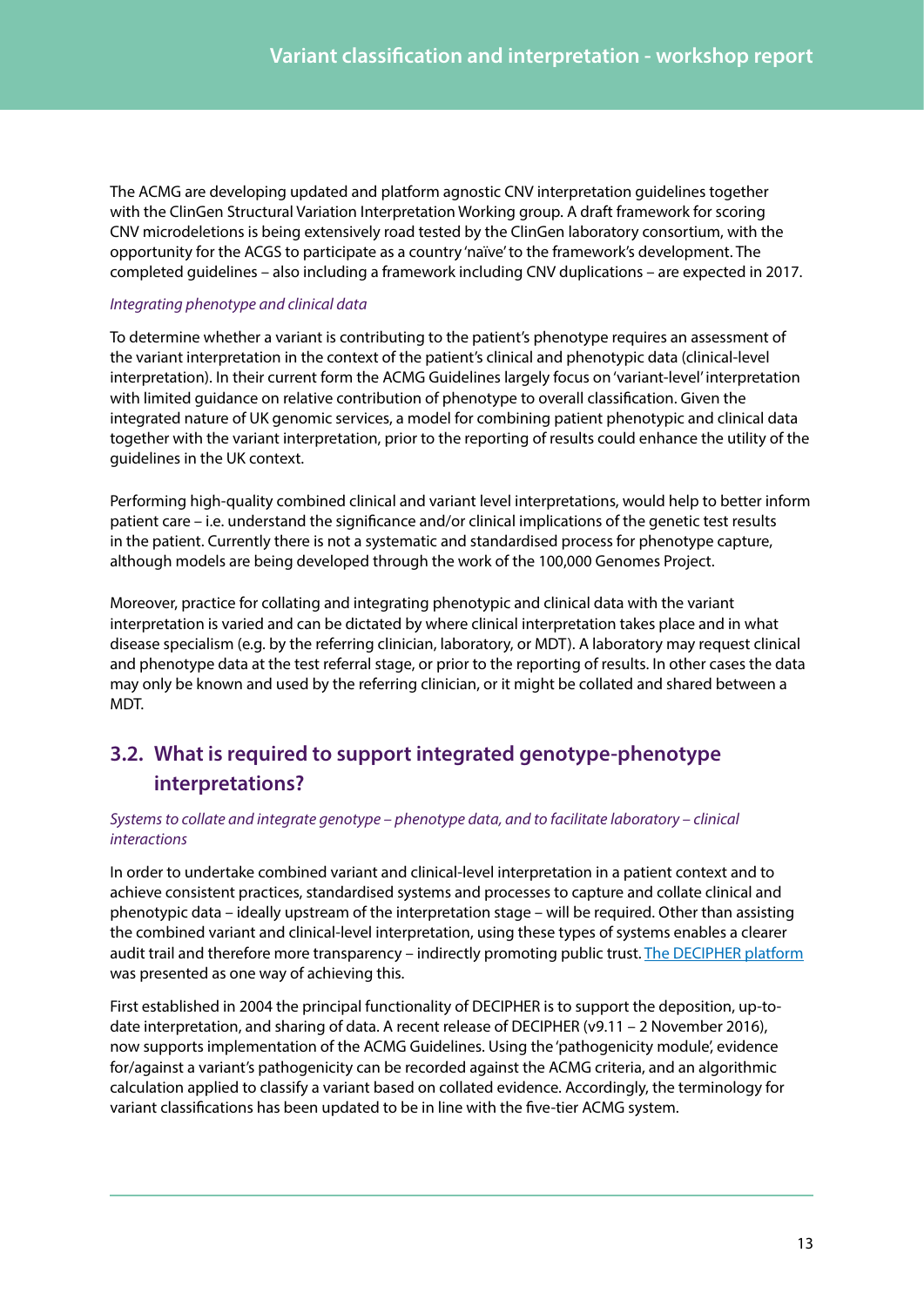<span id="page-12-0"></span>The ACMG are developing updated and platform agnostic CNV interpretation guidelines together with the ClinGen Structural Variation Interpretation Working group. A draft framework for scoring CNV microdeletions is being extensively road tested by the ClinGen laboratory consortium, with the opportunity for the ACGS to participate as a country 'naïve' to the framework's development. The completed guidelines – also including a framework including CNV duplications – are expected in 2017.

#### *Integrating phenotype and clinical data*

To determine whether a variant is contributing to the patient's phenotype requires an assessment of the variant interpretation in the context of the patient's clinical and phenotypic data (clinical-level interpretation). In their current form the ACMG Guidelines largely focus on 'variant-level' interpretation with limited guidance on relative contribution of phenotype to overall classification. Given the integrated nature of UK genomic services, a model for combining patient phenotypic and clinical data together with the variant interpretation, prior to the reporting of results could enhance the utility of the guidelines in the UK context.

Performing high-quality combined clinical and variant level interpretations, would help to better inform patient care – i.e. understand the significance and/or clinical implications of the genetic test results in the patient. Currently there is not a systematic and standardised process for phenotype capture, although models are being developed through the work of the 100,000 Genomes Project.

Moreover, practice for collating and integrating phenotypic and clinical data with the variant interpretation is varied and can be dictated by where clinical interpretation takes place and in what disease specialism (e.g. by the referring clinician, laboratory, or MDT). A laboratory may request clinical and phenotype data at the test referral stage, or prior to the reporting of results. In other cases the data may only be known and used by the referring clinician, or it might be collated and shared between a MDT.

### **3.2. What is required to support integrated genotype-phenotype interpretations?**

#### *Systems to collate and integrate genotype – phenotype data, and to facilitate laboratory – clinical interactions*

In order to undertake combined variant and clinical-level interpretation in a patient context and to achieve consistent practices, standardised systems and processes to capture and collate clinical and phenotypic data – ideally upstream of the interpretation stage – will be required. Other than assisting the combined variant and clinical-level interpretation, using these types of systems enables a clearer audit trail and therefore more transparency – indirectly promoting public trust. [The DECIPHER platform](http://www.sanger.ac.uk/science/tools/decipher-mapping-clinical-genome) was presented as one way of achieving this.

First established in 2004 the principal functionality of DECIPHER is to support the deposition, up-todate interpretation, and sharing of data. A recent release of DECIPHER (v9.11 - 2 November 2016), now supports implementation of the ACMG Guidelines. Using the 'pathogenicity module', evidence for/against a variant's pathogenicity can be recorded against the ACMG criteria, and an algorithmic calculation applied to classify a variant based on collated evidence. Accordingly, the terminology for variant classifications has been updated to be in line with the five-tier ACMG system.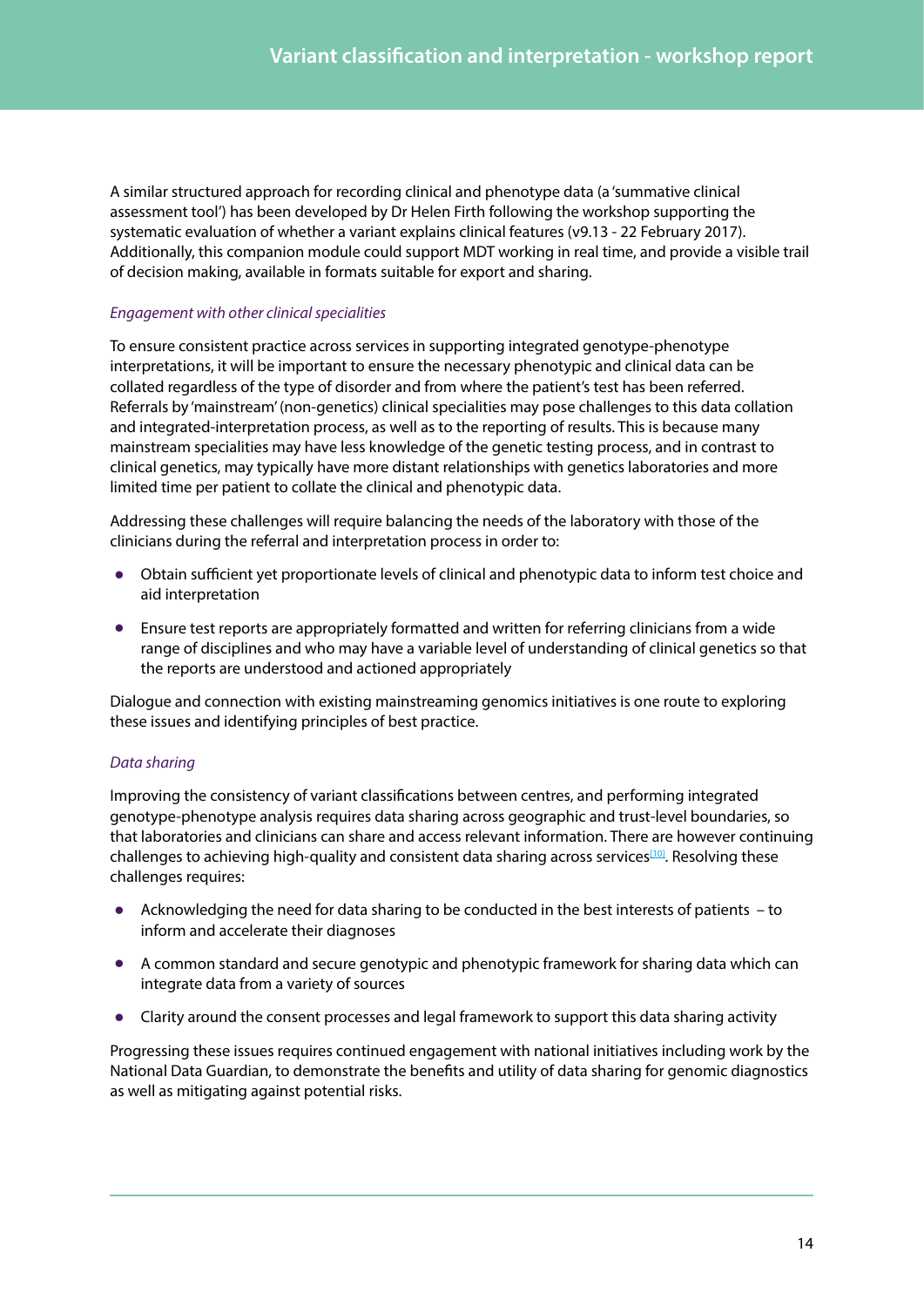A similar structured approach for recording clinical and phenotype data (a 'summative clinical assessment tool') has been developed by Dr Helen Firth following the workshop supporting the systematic evaluation of whether a variant explains clinical features (v9.13 - 22 February 2017). Additionally, this companion module could support MDT working in real time, and provide a visible trail of decision making, available in formats suitable for export and sharing.

### *Engagement with other clinical specialities*

To ensure consistent practice across services in supporting integrated genotype-phenotype interpretations, it will be important to ensure the necessary phenotypic and clinical data can be collated regardless of the type of disorder and from where the patient's test has been referred. Referrals by 'mainstream' (non-genetics) clinical specialities may pose challenges to this data collation and integrated-interpretation process, as well as to the reporting of results. This is because many mainstream specialities may have less knowledge of the genetic testing process, and in contrast to clinical genetics, may typically have more distant relationships with genetics laboratories and more limited time per patient to collate the clinical and phenotypic data.

Addressing these challenges will require balancing the needs of the laboratory with those of the clinicians during the referral and interpretation process in order to:

- **•** Obtain sufficient yet proportionate levels of clinical and phenotypic data to inform test choice and aid interpretation
- **•** Ensure test reports are appropriately formatted and written for referring clinicians from a wide range of disciplines and who may have a variable level of understanding of clinical genetics so that the reports are understood and actioned appropriately

Dialogue and connection with existing mainstreaming genomics initiatives is one route to exploring these issues and identifying principles of best practice.

### *Data sharing*

Improving the consistency of variant classifications between centres, and performing integrated genotype-phenotype analysis requires data sharing across geographic and trust-level boundaries, so that laboratories and clinicians can share and access relevant information. There are however continuing challenges to achieving high-quality and consistent data sharing across services<sup>[10]</sup>. Resolving these challenges requires:

- **•** Acknowledging the need for data sharing to be conducted in the best interests of patients to inform and accelerate their diagnoses
- **•** A common standard and secure genotypic and phenotypic framework for sharing data which can integrate data from a variety of sources
- **•** Clarity around the consent processes and legal framework to support this data sharing activity

Progressing these issues requires continued engagement with national initiatives including work by the National Data Guardian, to demonstrate the benefits and utility of data sharing for genomic diagnostics as well as mitigating against potential risks.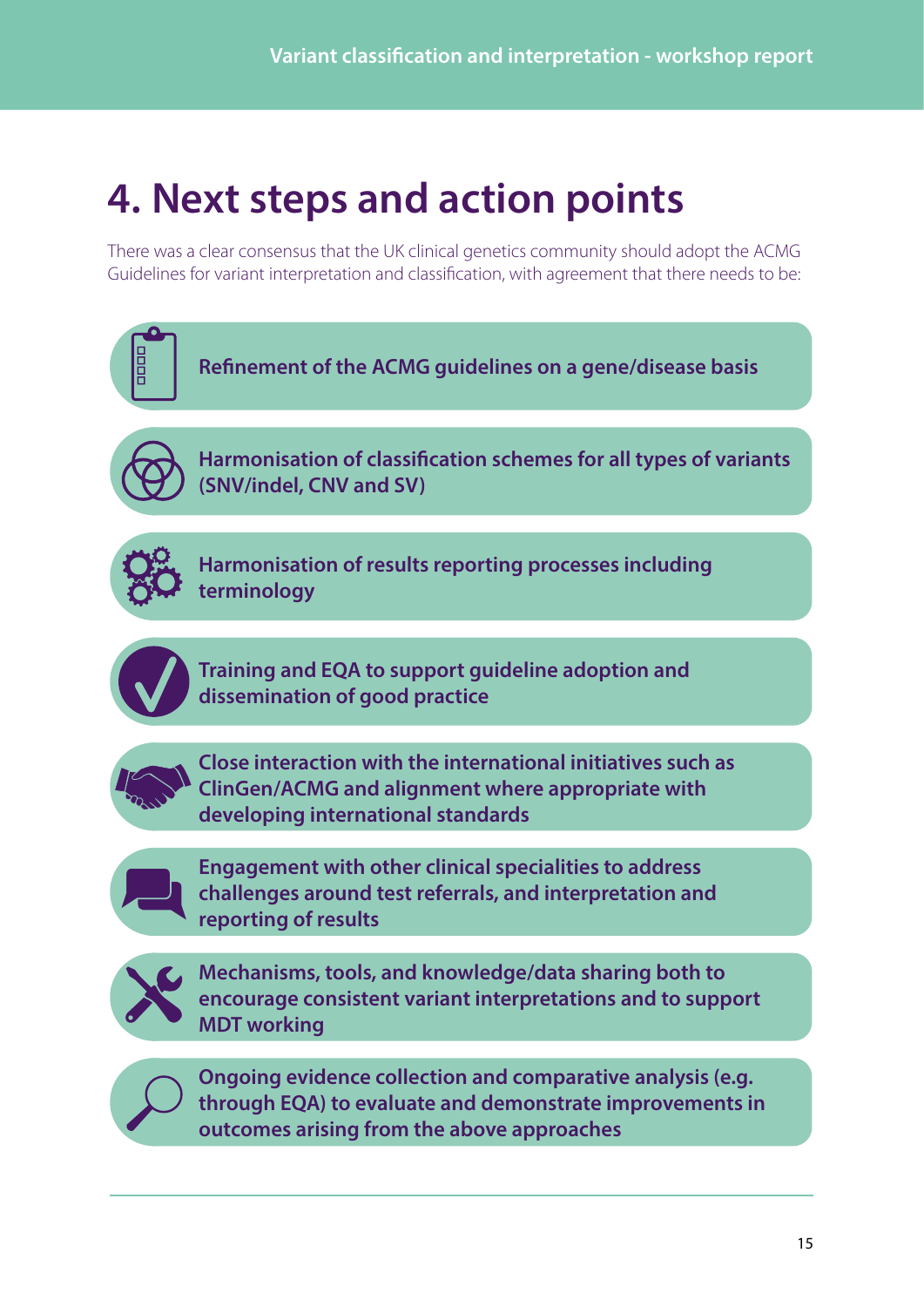## <span id="page-14-0"></span>**4. Next steps and action points**

There was a clear consensus that the UK clinical genetics community should adopt the ACMG Guidelines for variant interpretation and classification, with agreement that there needs to be:

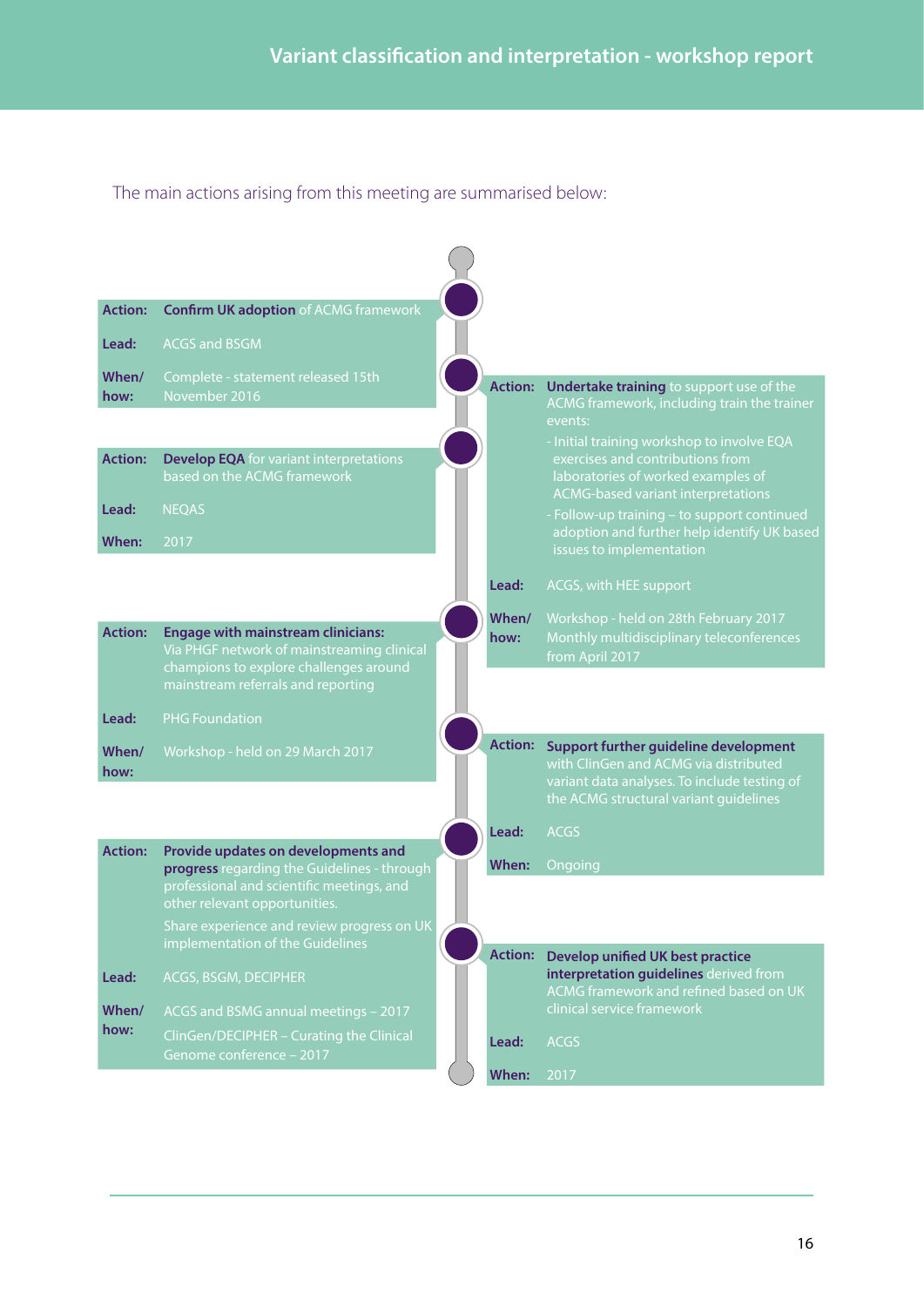The main actions arising from this meeting are summarised below:

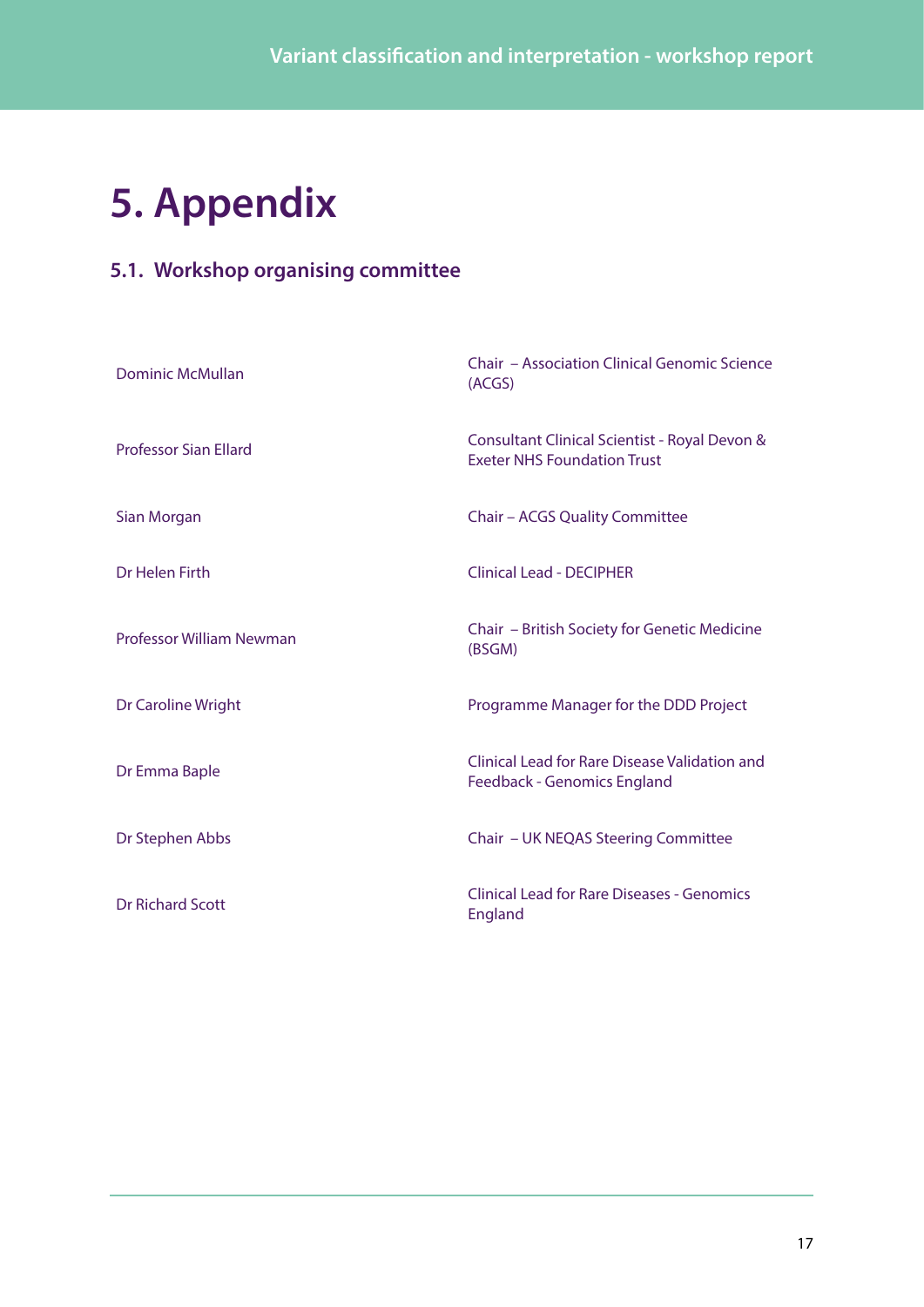## <span id="page-16-0"></span>**5. Appendix**

### **5.1. Workshop organising committee**

| <b>Dominic McMullan</b>         | <b>Chair - Association Clinical Genomic Science</b><br>(ACGS)                       |
|---------------------------------|-------------------------------------------------------------------------------------|
| <b>Professor Sian Ellard</b>    | Consultant Clinical Scientist - Royal Devon &<br><b>Exeter NHS Foundation Trust</b> |
| Sian Morgan                     | Chair - ACGS Quality Committee                                                      |
| Dr Helen Firth                  | Clinical Lead - DECIPHER                                                            |
| <b>Professor William Newman</b> | Chair - British Society for Genetic Medicine<br>(BSGM)                              |
| Dr Caroline Wright              | Programme Manager for the DDD Project                                               |
| Dr Emma Baple                   | Clinical Lead for Rare Disease Validation and<br>Feedback - Genomics England        |
| Dr Stephen Abbs                 | Chair - UK NEQAS Steering Committee                                                 |
| <b>Dr Richard Scott</b>         | <b>Clinical Lead for Rare Diseases - Genomics</b><br>England                        |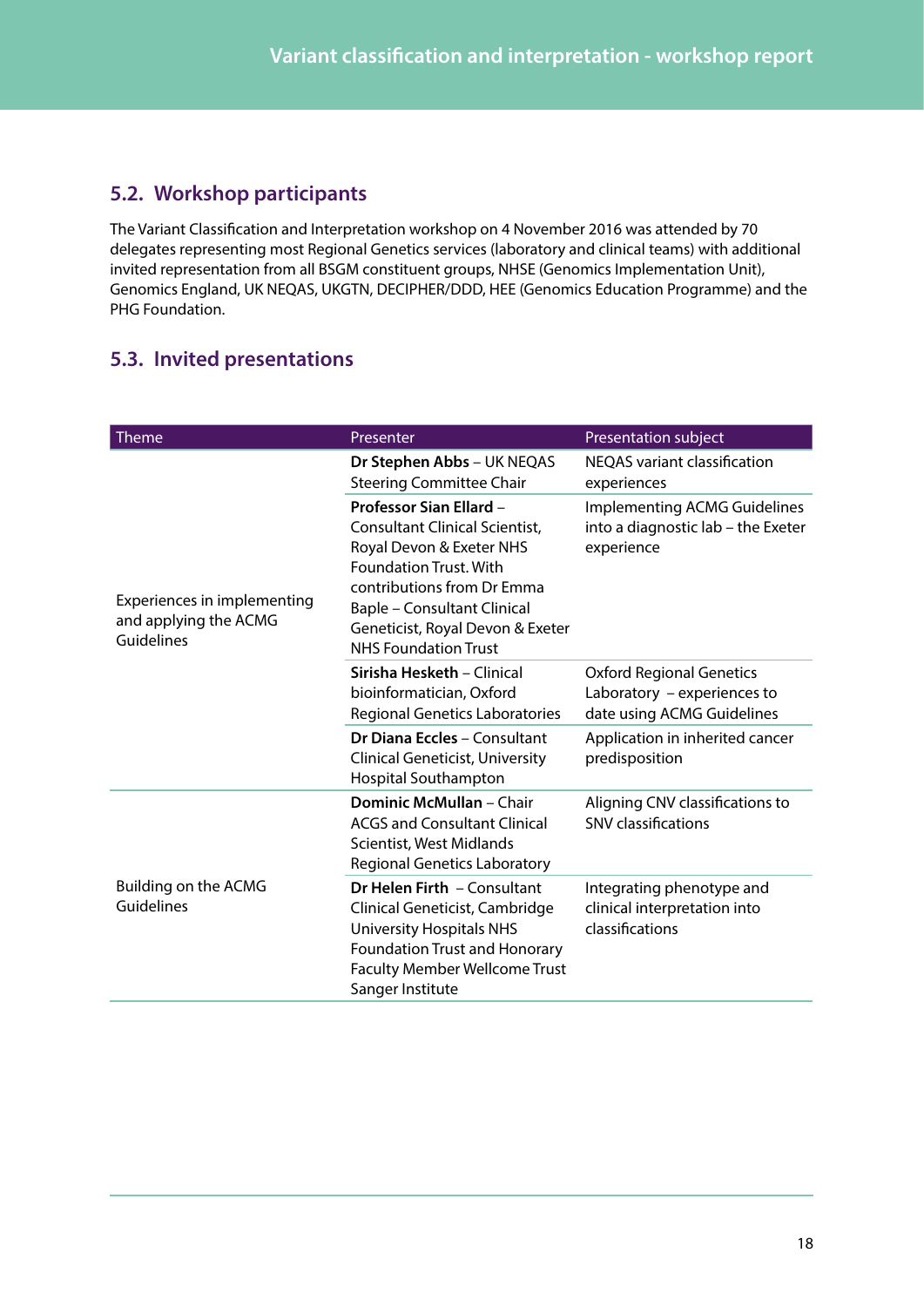### <span id="page-17-1"></span><span id="page-17-0"></span>**5.2. Workshop participants**

The Variant Classification and Interpretation workshop on 4 November 2016 was attended by 70 delegates representing most Regional Genetics services (laboratory and clinical teams) with additional invited representation from all BSGM constituent groups, NHSE (Genomics Implementation Unit), Genomics England, UK NEQAS, UKGTN, DECIPHER/DDD, HEE (Genomics Education Programme) and the PHG Foundation.

### <span id="page-17-2"></span>**5.3. Invited presentations**

| Theme                                                              | Presenter                                                                                                                                                                                                                                                            | Presentation subject                                                                         |
|--------------------------------------------------------------------|----------------------------------------------------------------------------------------------------------------------------------------------------------------------------------------------------------------------------------------------------------------------|----------------------------------------------------------------------------------------------|
|                                                                    | Dr Stephen Abbs - UK NEQAS<br><b>Steering Committee Chair</b>                                                                                                                                                                                                        | <b>NEQAS</b> variant classification<br>experiences                                           |
| Experiences in implementing<br>and applying the ACMG<br>Guidelines | <b>Professor Sian Ellard -</b><br>Consultant Clinical Scientist,<br>Royal Devon & Exeter NHS<br><b>Foundation Trust. With</b><br>contributions from Dr Emma<br><b>Baple - Consultant Clinical</b><br>Geneticist, Royal Devon & Exeter<br><b>NHS Foundation Trust</b> | <b>Implementing ACMG Guidelines</b><br>into a diagnostic lab – the Exeter<br>experience      |
|                                                                    | Sirisha Hesketh - Clinical<br>bioinformatician, Oxford<br>Regional Genetics Laboratories                                                                                                                                                                             | <b>Oxford Regional Genetics</b><br>Laboratory - experiences to<br>date using ACMG Guidelines |
|                                                                    | <b>Dr Diana Eccles - Consultant</b><br><b>Clinical Geneticist, University</b><br>Hospital Southampton                                                                                                                                                                | Application in inherited cancer<br>predisposition                                            |
|                                                                    | <b>Dominic McMullan - Chair</b><br><b>ACGS and Consultant Clinical</b><br>Scientist, West Midlands<br><b>Regional Genetics Laboratory</b>                                                                                                                            | Aligning CNV classifications to<br><b>SNV classifications</b>                                |
| Building on the ACMG<br>Guidelines                                 | Dr Helen Firth - Consultant<br>Clinical Geneticist, Cambridge<br><b>University Hospitals NHS</b><br>Foundation Trust and Honorary<br>Faculty Member Wellcome Trust<br>Sanger Institute                                                                               | Integrating phenotype and<br>clinical interpretation into<br>classifications                 |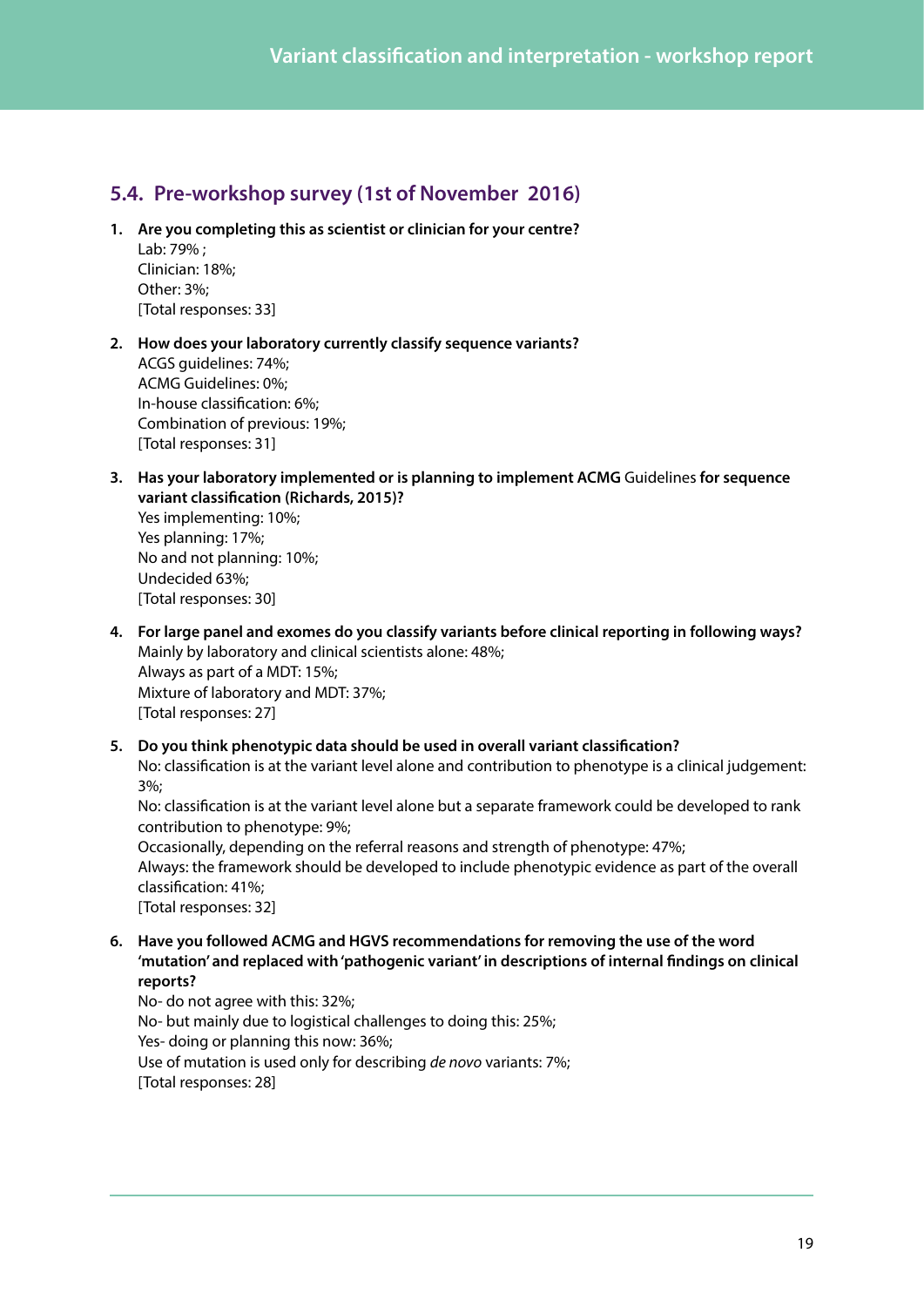### <span id="page-18-1"></span><span id="page-18-0"></span>**5.4. Pre-workshop survey (1st of November 2016)**

**1. Are you completing this as scientist or clinician for your centre?** Lab: 79% ;

Clinician: 18%; Other: 3%; [Total responses: 33]

- **2. How does your laboratory currently classify sequence variants?**  ACGS guidelines: 74%; ACMG Guidelines: 0%; In-house classification: 6%; Combination of previous: 19%; [Total responses: 31]
- **3. Has your laboratory implemented or is planning to implement ACMG** Guidelines **for sequence variant classification (Richards, 2015)?**

Yes implementing: 10%; Yes planning: 17%; No and not planning: 10%; Undecided 63%; [Total responses: 30]

- **4. For large panel and exomes do you classify variants before clinical reporting in following ways?**  Mainly by laboratory and clinical scientists alone: 48%; Always as part of a MDT: 15%; Mixture of laboratory and MDT: 37%; [Total responses: 27]
- **5. Do you think phenotypic data should be used in overall variant classification?**  No: classification is at the variant level alone and contribution to phenotype is a clinical judgement: 3%;

No: classification is at the variant level alone but a separate framework could be developed to rank contribution to phenotype: 9%;

Occasionally, depending on the referral reasons and strength of phenotype: 47%; Always: the framework should be developed to include phenotypic evidence as part of the overall classification: 41%; [Total responses: 32]

**6. Have you followed ACMG and HGVS recommendations for removing the use of the word 'mutation' and replaced with 'pathogenic variant' in descriptions of internal findings on clinical reports?**

No- do not agree with this: 32%; No- but mainly due to logistical challenges to doing this: 25%; Yes- doing or planning this now: 36%; Use of mutation is used only for describing *de novo* variants: 7%; [Total responses: 28]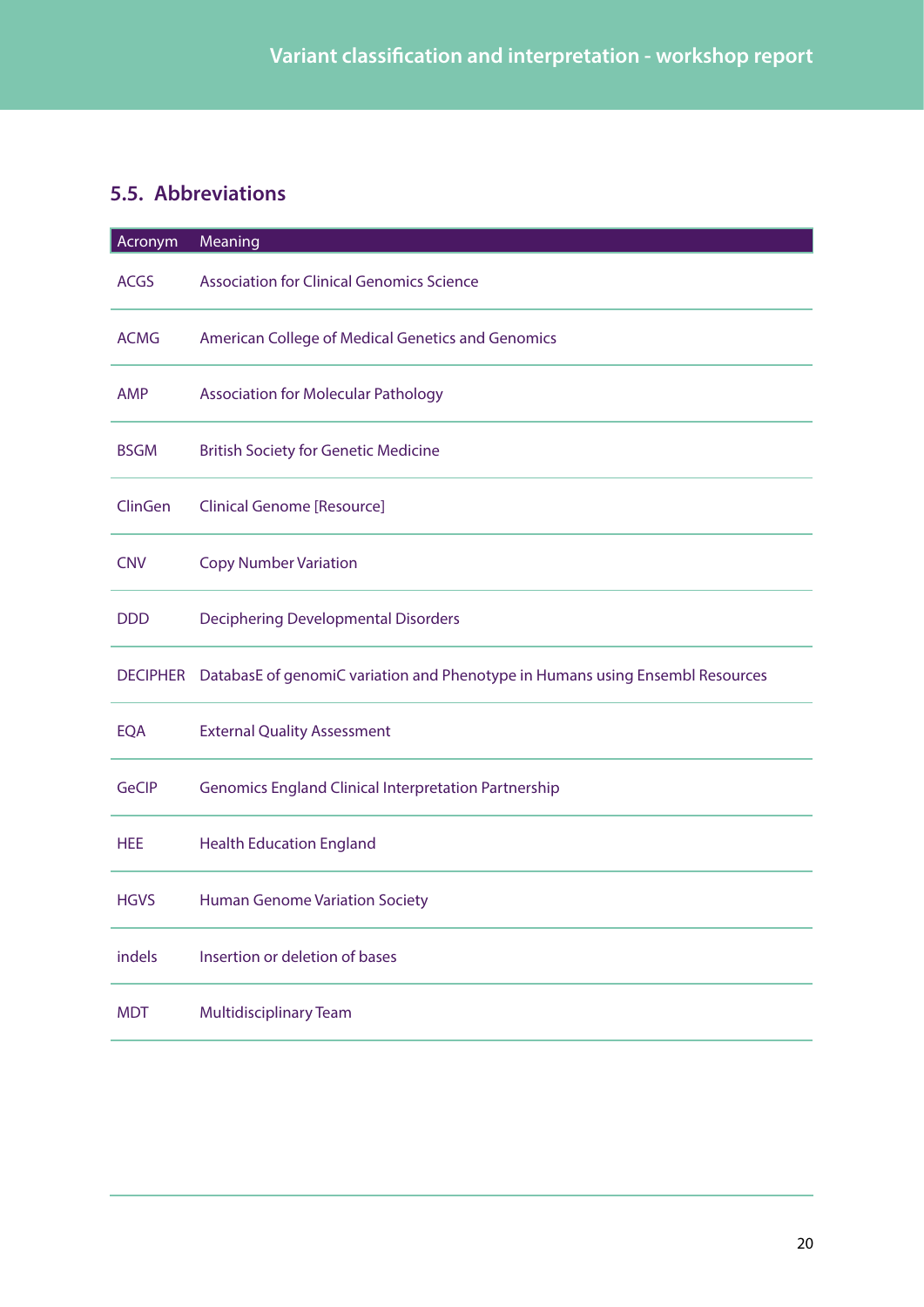### <span id="page-19-0"></span>**5.5. Abbreviations**

| Acronym         | Meaning                                                                       |
|-----------------|-------------------------------------------------------------------------------|
| <b>ACGS</b>     | <b>Association for Clinical Genomics Science</b>                              |
| <b>ACMG</b>     | American College of Medical Genetics and Genomics                             |
| <b>AMP</b>      | <b>Association for Molecular Pathology</b>                                    |
| <b>BSGM</b>     | <b>British Society for Genetic Medicine</b>                                   |
| ClinGen         | <b>Clinical Genome [Resource]</b>                                             |
| <b>CNV</b>      | <b>Copy Number Variation</b>                                                  |
| <b>DDD</b>      | Deciphering Developmental Disorders                                           |
| <b>DECIPHER</b> | DatabasE of genomiC variation and Phenotype in Humans using Ensembl Resources |
| <b>EQA</b>      | <b>External Quality Assessment</b>                                            |
| <b>GeCIP</b>    | <b>Genomics England Clinical Interpretation Partnership</b>                   |
| <b>HEE</b>      | <b>Health Education England</b>                                               |
| <b>HGVS</b>     | <b>Human Genome Variation Society</b>                                         |
| indels          | Insertion or deletion of bases                                                |
| MDT             | <b>Multidisciplinary Team</b>                                                 |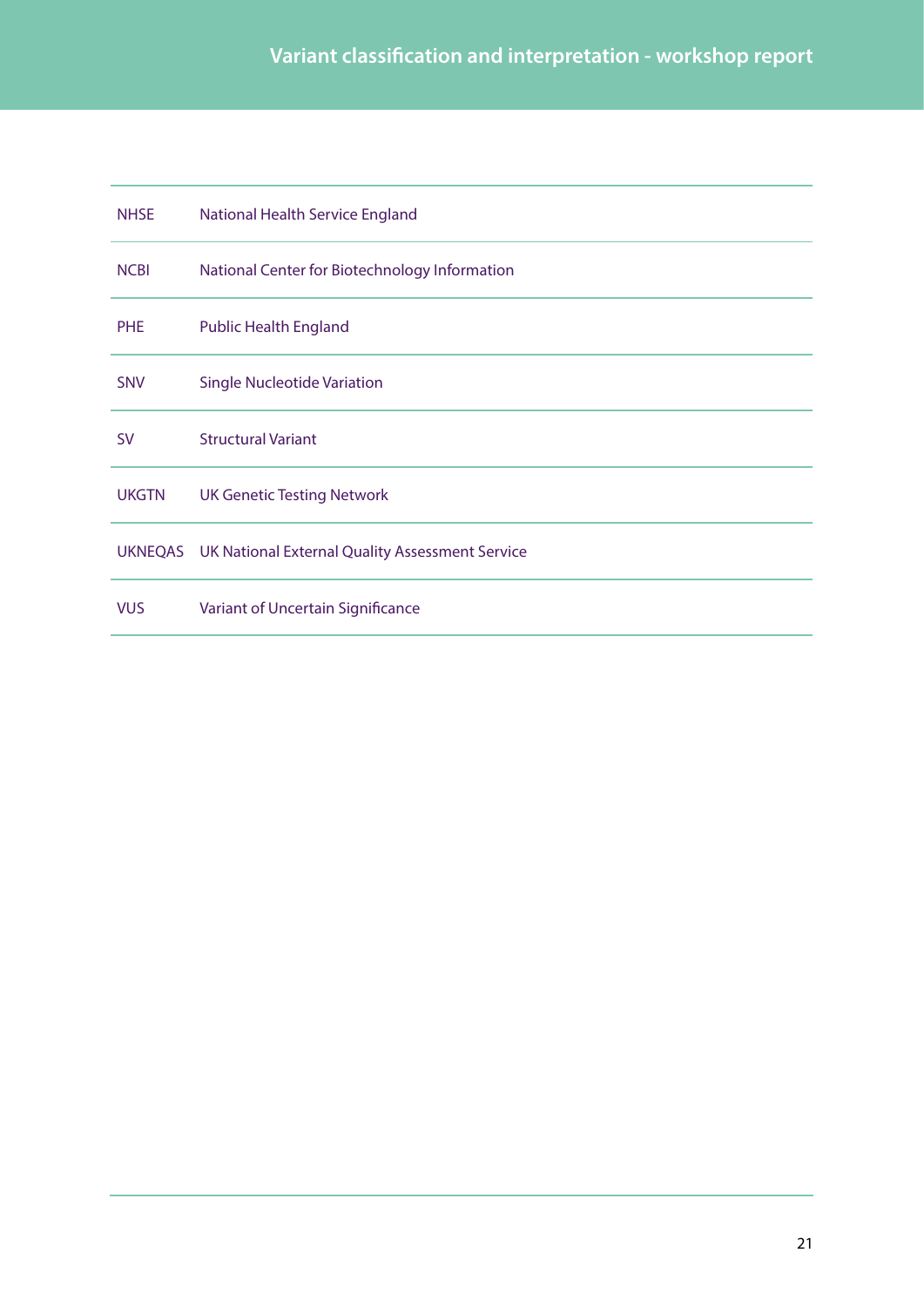| <b>NHSE</b>  | National Health Service England                         |
|--------------|---------------------------------------------------------|
| <b>NCBI</b>  | National Center for Biotechnology Information           |
| <b>PHE</b>   | <b>Public Health England</b>                            |
| <b>SNV</b>   | <b>Single Nucleotide Variation</b>                      |
| <b>SV</b>    | <b>Structural Variant</b>                               |
| <b>UKGTN</b> | <b>UK Genetic Testing Network</b>                       |
|              | UKNEQAS UK National External Quality Assessment Service |
| <b>VUS</b>   | Variant of Uncertain Significance                       |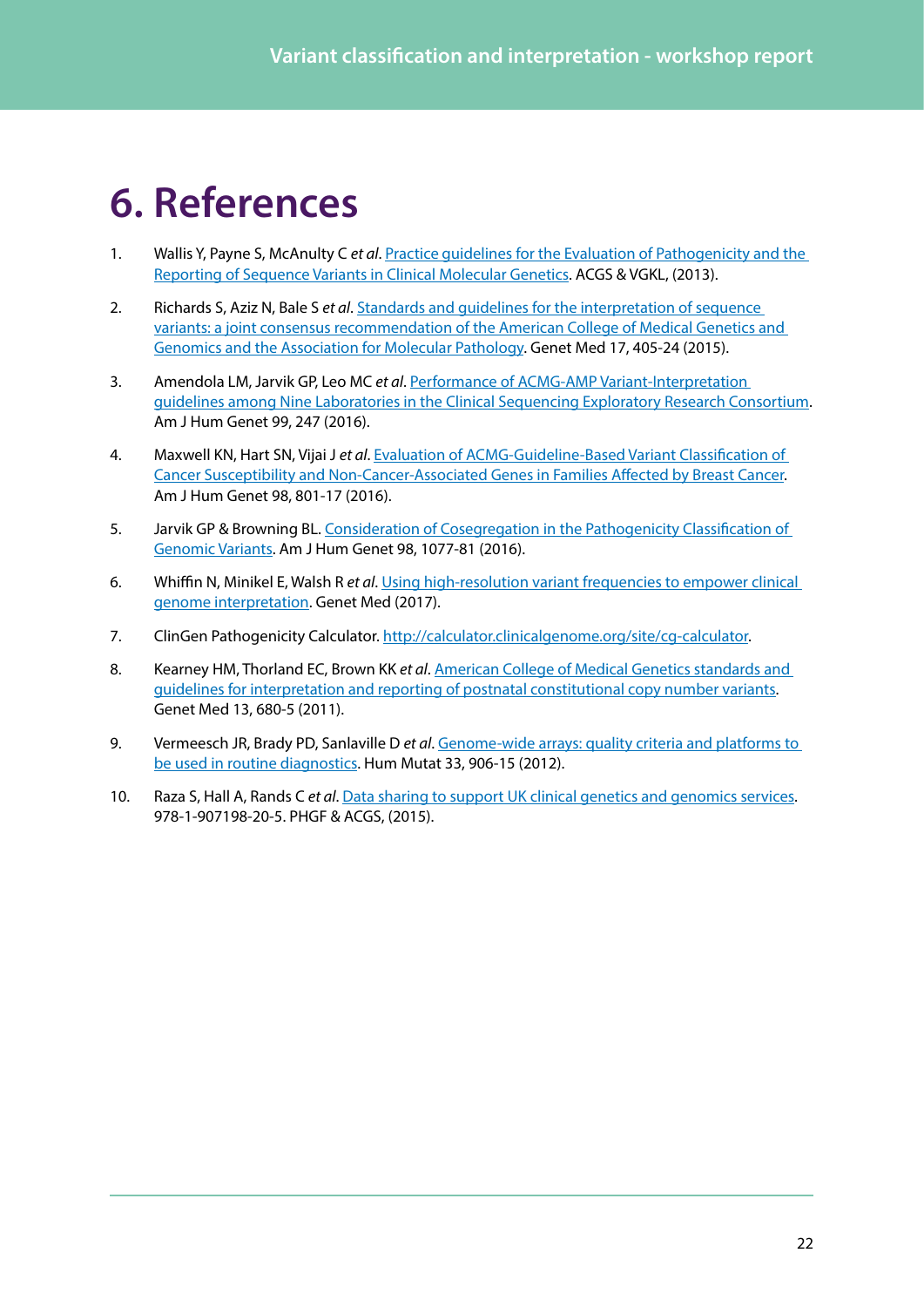## <span id="page-21-0"></span>**6. References**

- <span id="page-21-1"></span>1. Wallis Y, Payne S, McAnulty C *et al*. Practice [guidelines for the Evaluation of Pathogenicity and the](http://www.acgs.uk.com/media/774853/evaluation_and_reporting_of_sequence_variants_bpgs_june_2013_-_finalpdf.pdf)  [Reporting of Sequence Variants in Clinical Molecular Genetics.](http://www.acgs.uk.com/media/774853/evaluation_and_reporting_of_sequence_variants_bpgs_june_2013_-_finalpdf.pdf) ACGS & VGKL, (2013).
- <span id="page-21-2"></span>2. Richards S, Aziz N, Bale S *et al*. [Standards and guidelines for the interpretation of sequence](https://www.ncbi.nlm.nih.gov/pubmed/25741868)  [variants: a joint consensus recommendation of the American College of Medical Genetics and](https://www.ncbi.nlm.nih.gov/pubmed/25741868)  [Genomics and the Association for Molecular Pathology](https://www.ncbi.nlm.nih.gov/pubmed/25741868). Genet Med 17, 405-24 (2015).
- <span id="page-21-3"></span>3. Amendola LM, Jarvik GP, Leo MC *et al*. [Performance of ACMG-AMP Variant-Interpretation](https://www.ncbi.nlm.nih.gov/pubmed/27181684) [guidelines among Nine Laboratories in the Clinical Sequencing Exploratory Research Consortium](https://www.ncbi.nlm.nih.gov/pubmed/27181684). Am J Hum Genet 99, 247 (2016).
- <span id="page-21-4"></span>4. Maxwell KN, Hart SN, Vijai J *et al*. [Evaluation of ACMG-Guideline-Based Variant Classification of](https://www.ncbi.nlm.nih.gov/pubmed/27153395)  [Cancer Susceptibility and Non-Cancer-Associated Genes in Families Affected by Breast Cancer](https://www.ncbi.nlm.nih.gov/pubmed/27153395). Am J Hum Genet 98, 801-17 (2016).
- <span id="page-21-5"></span>5. Jarvik GP & Browning BL. [Consideration of Cosegregation in the Pathogenicity Classification of](https://www.ncbi.nlm.nih.gov/pubmed/27236918)  [Genomic Variants.](https://www.ncbi.nlm.nih.gov/pubmed/27236918) Am J Hum Genet 98, 1077-81 (2016).
- <span id="page-21-6"></span>6. Whiffin N, Minikel E, Walsh R *et al*. [Using high-resolution variant frequencies to empower clinical](https://www.nature.com/gim/journal/vaop/ncurrent/full/gim201726a.html)  [genome interpretation](https://www.nature.com/gim/journal/vaop/ncurrent/full/gim201726a.html). Genet Med (2017).
- <span id="page-21-7"></span>7. ClinGen Pathogenicity Calculator. http://calculator.clinicalgenome.org/site/cq-calculator.
- <span id="page-21-8"></span>8. Kearney HM, Thorland EC, Brown KK *et al*. [American College of Medical Genetics standards and](https://www.ncbi.nlm.nih.gov/pubmed/21681106)  [guidelines for interpretation and reporting of postnatal constitutional copy number variants.](https://www.ncbi.nlm.nih.gov/pubmed/21681106) Genet Med 13, 680-5 (2011).
- <span id="page-21-9"></span>9. Vermeesch JR, Brady PD, Sanlaville D *et al*. [Genome-wide arrays: quality criteria and platforms to](https://www.ncbi.nlm.nih.gov/pubmed/22415865)  [be used in routine diagnostics](https://www.ncbi.nlm.nih.gov/pubmed/22415865). Hum Mutat 33, 906-15 (2012).
- <span id="page-21-10"></span>10. Raza S, Hall A, Rands C *et al*. [Data sharing to support UK clinical genetics and genomics services.](http://www.phgfoundation.org/reports/17086/) 978-1-907198-20-5. PHGF & ACGS, (2015).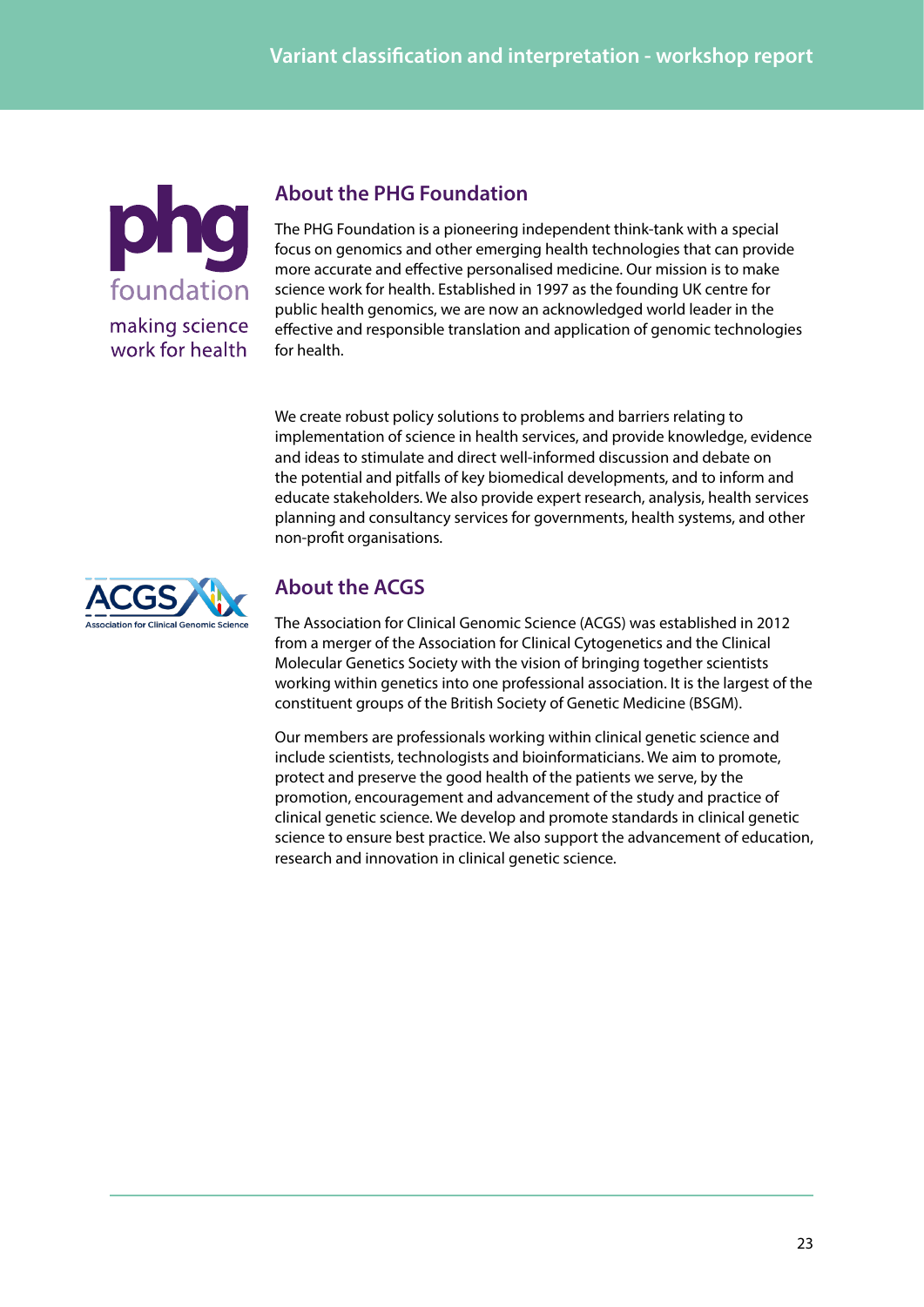

### **About the PHG Foundation**

The PHG Foundation is a pioneering independent think-tank with a special focus on genomics and other emerging health technologies that can provide more accurate and effective personalised medicine. Our mission is to make science work for health. Established in 1997 as the founding UK centre for public health genomics, we are now an acknowledged world leader in the effective and responsible translation and application of genomic technologies for health.

We create robust policy solutions to problems and barriers relating to implementation of science in health services, and provide knowledge, evidence and ideas to stimulate and direct well-informed discussion and debate on the potential and pitfalls of key biomedical developments, and to inform and educate stakeholders. We also provide expert research, analysis, health services planning and consultancy services for governments, health systems, and other non-profit organisations.



### **About the ACGS**

The Association for Clinical Genomic Science (ACGS) was established in 2012 from a merger of the Association for Clinical Cytogenetics and the Clinical Molecular Genetics Society with the vision of bringing together scientists working within genetics into one professional association. It is the largest of the constituent groups of the British Society of Genetic Medicine (BSGM).

Our members are professionals working within clinical genetic science and include scientists, technologists and bioinformaticians. We aim to promote, protect and preserve the good health of the patients we serve, by the promotion, encouragement and advancement of the study and practice of clinical genetic science. We develop and promote standards in clinical genetic science to ensure best practice. We also support the advancement of education, research and innovation in clinical genetic science.